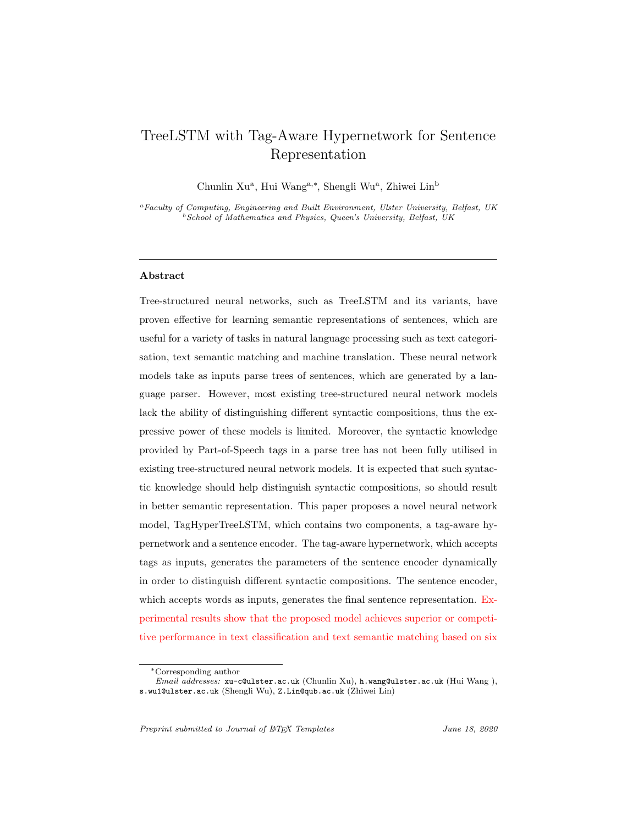# TreeLSTM with Tag-Aware Hypernetwork for Sentence Representation

Chunlin Xu<sup>a</sup>, Hui Wang<sup>a,\*</sup>, Shengli Wu<sup>a</sup>, Zhiwei Lin<sup>b</sup>

<sup>a</sup>Faculty of Computing, Engineering and Built Environment, Ulster University, Belfast, UK  $^{b}$  School of Mathematics and Physics, Queen's University, Belfast, UK

# Abstract

Tree-structured neural networks, such as TreeLSTM and its variants, have proven effective for learning semantic representations of sentences, which are useful for a variety of tasks in natural language processing such as text categorisation, text semantic matching and machine translation. These neural network models take as inputs parse trees of sentences, which are generated by a language parser. However, most existing tree-structured neural network models lack the ability of distinguishing different syntactic compositions, thus the expressive power of these models is limited. Moreover, the syntactic knowledge provided by Part-of-Speech tags in a parse tree has not been fully utilised in existing tree-structured neural network models. It is expected that such syntactic knowledge should help distinguish syntactic compositions, so should result in better semantic representation. This paper proposes a novel neural network model, TagHyperTreeLSTM, which contains two components, a tag-aware hypernetwork and a sentence encoder. The tag-aware hypernetwork, which accepts tags as inputs, generates the parameters of the sentence encoder dynamically in order to distinguish different syntactic compositions. The sentence encoder, which accepts words as inputs, generates the final sentence representation. Experimental results show that the proposed model achieves superior or competitive performance in text classification and text semantic matching based on six

Preprint submitted to Journal of  $\mu$ T<sub>EX</sub> Templates June 18, 2020

<sup>∗</sup>Corresponding author

Email addresses: xu-c@ulster.ac.uk (Chunlin Xu), h.wang@ulster.ac.uk (Hui Wang ), s.wu1@ulster.ac.uk (Shengli Wu), Z.Lin@qub.ac.uk (Zhiwei Lin)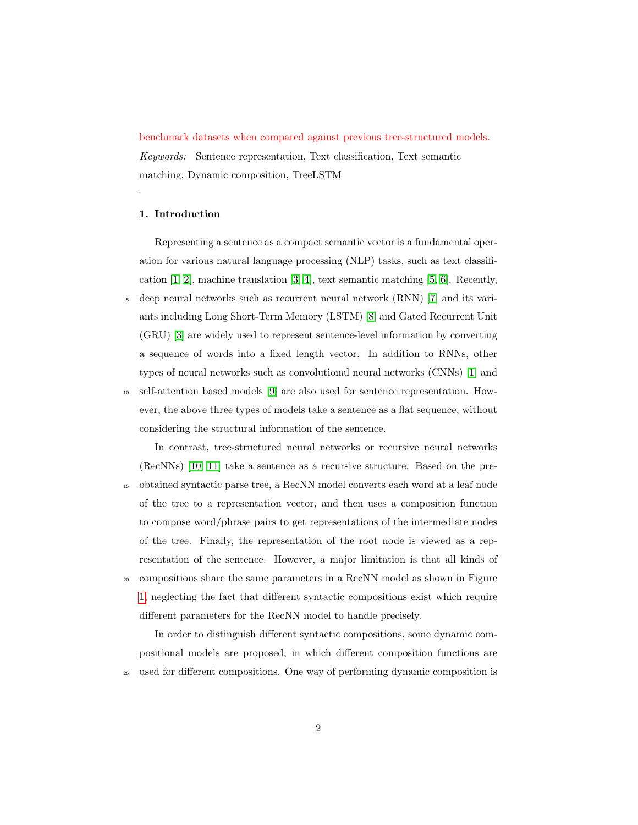benchmark datasets when compared against previous tree-structured models. Keywords: Sentence representation, Text classification, Text semantic matching, Dynamic composition, TreeLSTM

# 1. Introduction

Representing a sentence as a compact semantic vector is a fundamental operation for various natural language processing (NLP) tasks, such as text classification [\[1,](#page-22-0) [2\]](#page-22-1), machine translation [\[3,](#page-22-2) [4\]](#page-22-3), text semantic matching [\[5,](#page-23-0) [6\]](#page-23-1). Recently, <sup>5</sup> deep neural networks such as recurrent neural network (RNN) [\[7\]](#page-23-2) and its variants including Long Short-Term Memory (LSTM) [\[8\]](#page-23-3) and Gated Recurrent Unit (GRU) [\[3\]](#page-22-2) are widely used to represent sentence-level information by converting a sequence of words into a fixed length vector. In addition to RNNs, other types of neural networks such as convolutional neural networks (CNNs) [\[1\]](#page-22-0) and

<sup>10</sup> self-attention based models [\[9\]](#page-23-4) are also used for sentence representation. However, the above three types of models take a sentence as a flat sequence, without considering the structural information of the sentence.

In contrast, tree-structured neural networks or recursive neural networks (RecNNs) [\[10,](#page-23-5) [11\]](#page-23-6) take a sentence as a recursive structure. Based on the pre-<sup>15</sup> obtained syntactic parse tree, a RecNN model converts each word at a leaf node of the tree to a representation vector, and then uses a composition function to compose word/phrase pairs to get representations of the intermediate nodes of the tree. Finally, the representation of the root node is viewed as a representation of the sentence. However, a major limitation is that all kinds of <sup>20</sup> compositions share the same parameters in a RecNN model as shown in Figure [1,](#page-2-0) neglecting the fact that different syntactic compositions exist which require different parameters for the RecNN model to handle precisely.

In order to distinguish different syntactic compositions, some dynamic compositional models are proposed, in which different composition functions are <sup>25</sup> used for different compositions. One way of performing dynamic composition is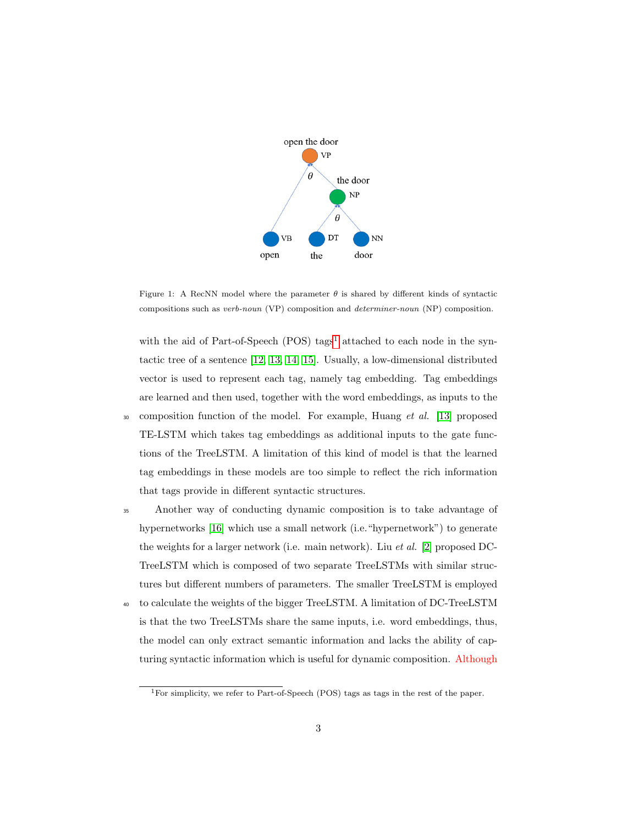

<span id="page-2-0"></span>Figure 1: A RecNN model where the parameter  $\theta$  is shared by different kinds of syntactic compositions such as verb-noun (VP) composition and determiner-noun (NP) composition.

with the aid of Part-of-Speech (POS) tags<sup>[1](#page-2-1)</sup> attached to each node in the syntactic tree of a sentence [\[12,](#page-24-0) [13,](#page-24-1) [14,](#page-24-2) [15\]](#page-24-3). Usually, a low-dimensional distributed vector is used to represent each tag, namely tag embedding. Tag embeddings are learned and then used, together with the word embeddings, as inputs to the <sup>30</sup> composition function of the model. For example, Huang *et al.* [\[13\]](#page-24-1) proposed

- TE-LSTM which takes tag embeddings as additional inputs to the gate functions of the TreeLSTM. A limitation of this kind of model is that the learned tag embeddings in these models are too simple to reflect the rich information that tags provide in different syntactic structures.
- <sup>35</sup> Another way of conducting dynamic composition is to take advantage of hypernetworks [\[16\]](#page-24-4) which use a small network (i.e."hypernetwork") to generate the weights for a larger network (i.e. main network). Liu et al. [\[2\]](#page-22-1) proposed DC-TreeLSTM which is composed of two separate TreeLSTMs with similar structures but different numbers of parameters. The smaller TreeLSTM is employed
- <sup>40</sup> to calculate the weights of the bigger TreeLSTM. A limitation of DC-TreeLSTM is that the two TreeLSTMs share the same inputs, i.e. word embeddings, thus, the model can only extract semantic information and lacks the ability of capturing syntactic information which is useful for dynamic composition. Although

<span id="page-2-1"></span><sup>&</sup>lt;sup>1</sup>For simplicity, we refer to Part-of-Speech (POS) tags as tags in the rest of the paper.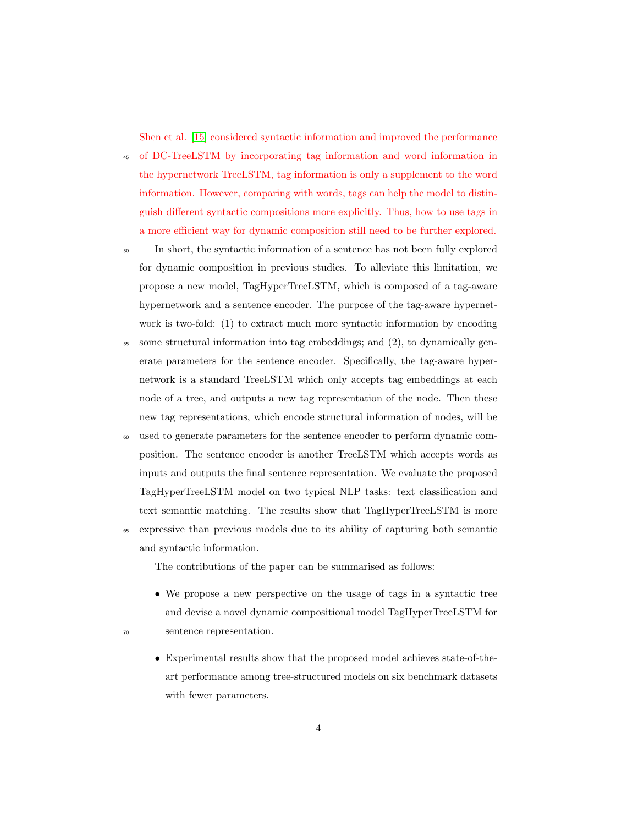Shen et al. [\[15\]](#page-24-3) considered syntactic information and improved the performance

- <sup>45</sup> of DC-TreeLSTM by incorporating tag information and word information in the hypernetwork TreeLSTM, tag information is only a supplement to the word information. However, comparing with words, tags can help the model to distinguish different syntactic compositions more explicitly. Thus, how to use tags in a more efficient way for dynamic composition still need to be further explored.
- <sup>50</sup> In short, the syntactic information of a sentence has not been fully explored for dynamic composition in previous studies. To alleviate this limitation, we propose a new model, TagHyperTreeLSTM, which is composed of a tag-aware hypernetwork and a sentence encoder. The purpose of the tag-aware hypernetwork is two-fold: (1) to extract much more syntactic information by encoding
- <sup>55</sup> some structural information into tag embeddings; and (2), to dynamically generate parameters for the sentence encoder. Specifically, the tag-aware hypernetwork is a standard TreeLSTM which only accepts tag embeddings at each node of a tree, and outputs a new tag representation of the node. Then these new tag representations, which encode structural information of nodes, will be
- <sup>60</sup> used to generate parameters for the sentence encoder to perform dynamic composition. The sentence encoder is another TreeLSTM which accepts words as inputs and outputs the final sentence representation. We evaluate the proposed TagHyperTreeLSTM model on two typical NLP tasks: text classification and text semantic matching. The results show that TagHyperTreeLSTM is more
- <sup>65</sup> expressive than previous models due to its ability of capturing both semantic and syntactic information.

The contributions of the paper can be summarised as follows:

- We propose a new perspective on the usage of tags in a syntactic tree and devise a novel dynamic compositional model TagHyperTreeLSTM for <sup>70</sup> sentence representation.
	- Experimental results show that the proposed model achieves state-of-theart performance among tree-structured models on six benchmark datasets with fewer parameters.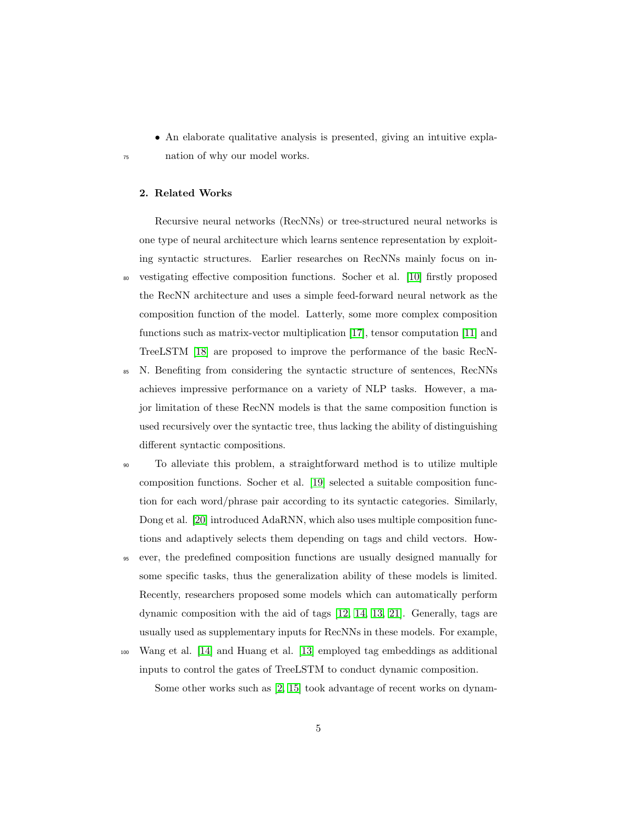- An elaborate qualitative analysis is presented, giving an intuitive expla-
- <sup>75</sup> nation of why our model works.

# 2. Related Works

Recursive neural networks (RecNNs) or tree-structured neural networks is one type of neural architecture which learns sentence representation by exploiting syntactic structures. Earlier researches on RecNNs mainly focus on in-<sup>80</sup> vestigating effective composition functions. Socher et al. [\[10\]](#page-23-5) firstly proposed the RecNN architecture and uses a simple feed-forward neural network as the composition function of the model. Latterly, some more complex composition functions such as matrix-vector multiplication [\[17\]](#page-24-5), tensor computation [\[11\]](#page-23-6) and TreeLSTM [\[18\]](#page-24-6) are proposed to improve the performance of the basic RecN-

- <sup>85</sup> N. Benefiting from considering the syntactic structure of sentences, RecNNs achieves impressive performance on a variety of NLP tasks. However, a major limitation of these RecNN models is that the same composition function is used recursively over the syntactic tree, thus lacking the ability of distinguishing different syntactic compositions.
- <sup>90</sup> To alleviate this problem, a straightforward method is to utilize multiple composition functions. Socher et al. [\[19\]](#page-25-0) selected a suitable composition function for each word/phrase pair according to its syntactic categories. Similarly, Dong et al. [\[20\]](#page-25-1) introduced AdaRNN, which also uses multiple composition functions and adaptively selects them depending on tags and child vectors. How-
- <sup>95</sup> ever, the predefined composition functions are usually designed manually for some specific tasks, thus the generalization ability of these models is limited. Recently, researchers proposed some models which can automatically perform dynamic composition with the aid of tags [\[12,](#page-24-0) [14,](#page-24-2) [13,](#page-24-1) [21\]](#page-25-2). Generally, tags are usually used as supplementary inputs for RecNNs in these models. For example,
- <sup>100</sup> Wang et al. [\[14\]](#page-24-2) and Huang et al. [\[13\]](#page-24-1) employed tag embeddings as additional inputs to control the gates of TreeLSTM to conduct dynamic composition. Some other works such as [\[2,](#page-22-1) [15\]](#page-24-3) took advantage of recent works on dynam-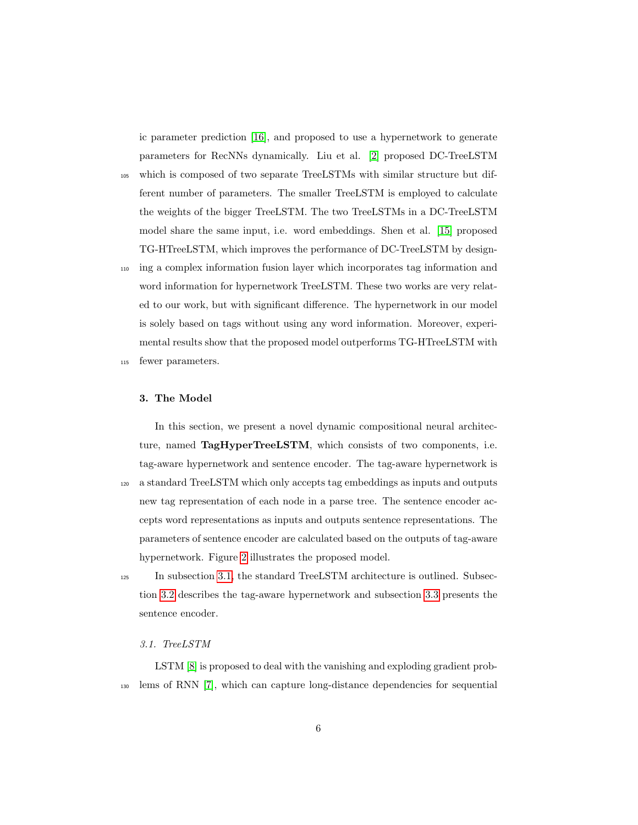ic parameter prediction [\[16\]](#page-24-4), and proposed to use a hypernetwork to generate parameters for RecNNs dynamically. Liu et al. [\[2\]](#page-22-1) proposed DC-TreeLSTM

- <sup>105</sup> which is composed of two separate TreeLSTMs with similar structure but different number of parameters. The smaller TreeLSTM is employed to calculate the weights of the bigger TreeLSTM. The two TreeLSTMs in a DC-TreeLSTM model share the same input, i.e. word embeddings. Shen et al. [\[15\]](#page-24-3) proposed TG-HTreeLSTM, which improves the performance of DC-TreeLSTM by design-
- <sup>110</sup> ing a complex information fusion layer which incorporates tag information and word information for hypernetwork TreeLSTM. These two works are very related to our work, but with significant difference. The hypernetwork in our model is solely based on tags without using any word information. Moreover, experimental results show that the proposed model outperforms TG-HTreeLSTM with
- <sup>115</sup> fewer parameters.

# 3. The Model

In this section, we present a novel dynamic compositional neural architecture, named TagHyperTreeLSTM, which consists of two components, i.e. tag-aware hypernetwork and sentence encoder. The tag-aware hypernetwork is <sup>120</sup> a standard TreeLSTM which only accepts tag embeddings as inputs and outputs new tag representation of each node in a parse tree. The sentence encoder accepts word representations as inputs and outputs sentence representations. The parameters of sentence encoder are calculated based on the outputs of tag-aware hypernetwork. Figure [2](#page-6-0) illustrates the proposed model.

<sup>125</sup> In subsection [3.1,](#page-5-0) the standard TreeLSTM architecture is outlined. Subsection [3.2](#page-7-0) describes the tag-aware hypernetwork and subsection [3.3](#page-8-0) presents the sentence encoder.

# <span id="page-5-0"></span>3.1. TreeLSTM

LSTM [\[8\]](#page-23-3) is proposed to deal with the vanishing and exploding gradient prob-<sup>130</sup> lems of RNN [\[7\]](#page-23-2), which can capture long-distance dependencies for sequential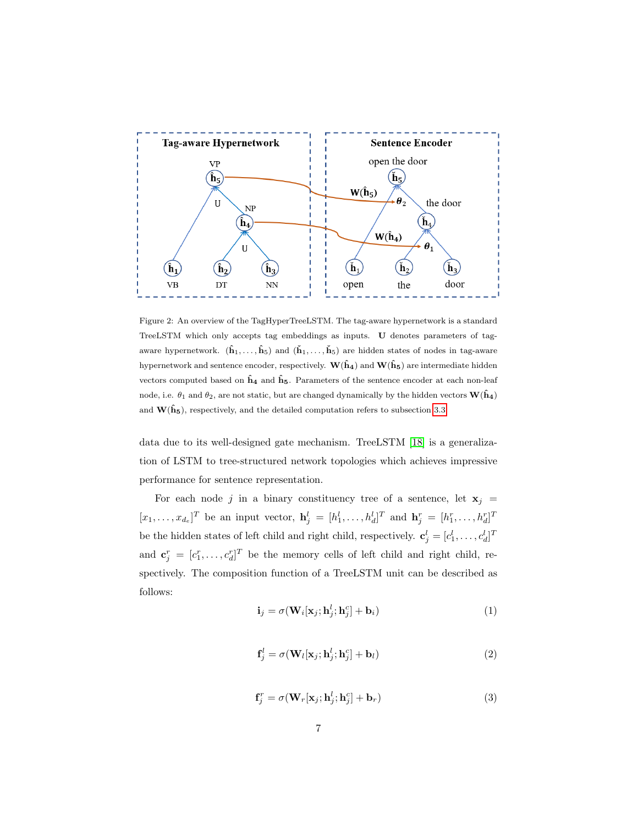

<span id="page-6-0"></span>Figure 2: An overview of the TagHyperTreeLSTM. The tag-aware hypernetwork is a standard TreeLSTM which only accepts tag embeddings as inputs. U denotes parameters of tagaware hypernetwork.  $(\hat{\mathbf{h}}_1, \ldots, \hat{\mathbf{h}}_5)$  and  $(\check{\mathbf{h}}_1, \ldots, \check{\mathbf{h}}_5)$  are hidden states of nodes in tag-aware hypernetwork and sentence encoder, respectively.  $\mathbf{W}(\hat{\mathbf{h}}_4)$  and  $\mathbf{W}(\hat{\mathbf{h}}_5)$  are intermediate hidden vectors computed based on  $\hat{h}_4$  and  $\hat{h}_5$ . Parameters of the sentence encoder at each non-leaf node, i.e.  $\theta_1$  and  $\theta_2$ , are not static, but are changed dynamically by the hidden vectors  $\mathbf{W}(\hat{\mathbf{h}}_4)$ and  $W(\hat{h}_5)$ , respectively, and the detailed computation refers to subsection [3.3.](#page-8-0)

data due to its well-designed gate mechanism. TreeLSTM [\[18\]](#page-24-6) is a generalization of LSTM to tree-structured network topologies which achieves impressive performance for sentence representation.

For each node j in a binary constituency tree of a sentence, let  $x_j =$  $[x_1, \ldots, x_{d_e}]^T$  be an input vector,  $\mathbf{h}_j^l = [h_1^l, \ldots, h_d^l]^T$  and  $\mathbf{h}_j^r = [h_1^r, \ldots, h_d^r]^T$ be the hidden states of left child and right child, respectively.  $\mathbf{c}_j^l = [c_1^l, \dots, c_d^l]^T$ and  $\mathbf{c}_j^r = [c_1^r, \ldots, c_d^r]^T$  be the memory cells of left child and right child, respectively. The composition function of a TreeLSTM unit can be described as follows:

<span id="page-6-1"></span>
$$
\mathbf{i}_{j} = \sigma(\mathbf{W}_{i}[\mathbf{x}_{j}; \mathbf{h}_{j}^{l}; \mathbf{h}_{j}^{c}] + \mathbf{b}_{i})
$$
(1)

$$
\mathbf{f}_j^l = \sigma(\mathbf{W}_l[\mathbf{x}_j; \mathbf{h}_j^l; \mathbf{h}_j^c] + \mathbf{b}_l)
$$
\n(2)

$$
\mathbf{f}_{j}^{r} = \sigma(\mathbf{W}_{r}[\mathbf{x}_{j}; \mathbf{h}_{j}^{l}; \mathbf{h}_{j}^{c}] + \mathbf{b}_{r})
$$
\n(3)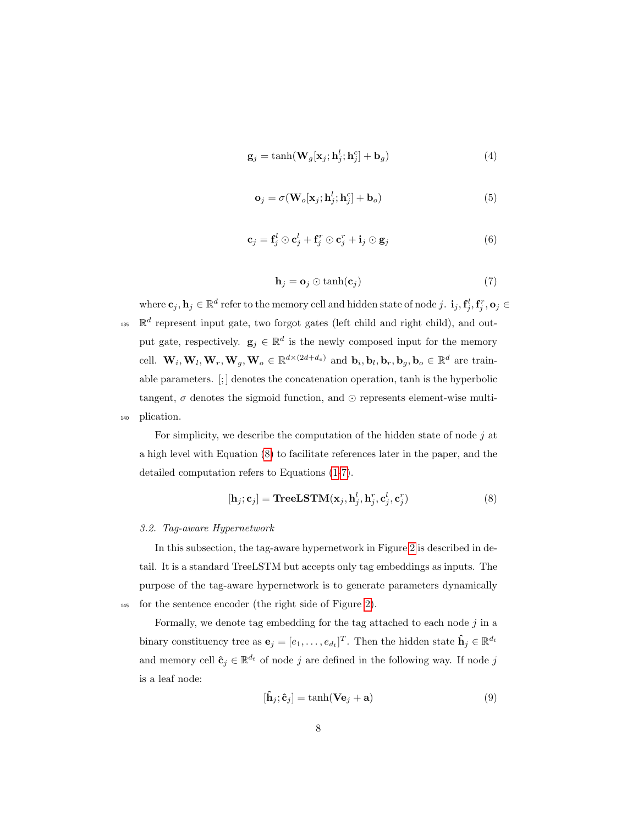$$
\mathbf{g}_j = \tanh(\mathbf{W}_g[\mathbf{x}_j; \mathbf{h}_j^l; \mathbf{h}_j^c] + \mathbf{b}_g)
$$
(4)

$$
\mathbf{o}_j = \sigma(\mathbf{W}_o[\mathbf{x}_j; \mathbf{h}_j^l; \mathbf{h}_j^c] + \mathbf{b}_o)
$$
\n(5)

$$
\mathbf{c}_{j} = \mathbf{f}_{j}^{l} \odot \mathbf{c}_{j}^{l} + \mathbf{f}_{j}^{r} \odot \mathbf{c}_{j}^{r} + \mathbf{i}_{j} \odot \mathbf{g}_{j}
$$
(6)

$$
\mathbf{h}_j = \mathbf{o}_j \odot \tanh(\mathbf{c}_j) \tag{7}
$$

<span id="page-7-2"></span>where  $\mathbf{c}_j, \mathbf{h}_j \in \mathbb{R}^d$  refer to the memory cell and hidden state of node  $j$ .  $\mathbf{i}_j, \mathbf{f}_j^l, \mathbf{f}_j^r, \mathbf{o}_j \in \mathbb{R}^d$ <sup>135</sup>  $\mathbb{R}^d$  represent input gate, two forgot gates (left child and right child), and output gate, respectively.  $\mathbf{g}_j \in \mathbb{R}^d$  is the newly composed input for the memory cell.  $\mathbf{W}_i, \mathbf{W}_l, \mathbf{W}_r, \mathbf{W}_g, \mathbf{W}_o \in \mathbb{R}^{d \times (2d+d_e)}$  and  $\mathbf{b}_i, \mathbf{b}_l, \mathbf{b}_r, \mathbf{b}_g, \mathbf{b}_o \in \mathbb{R}^d$  are trainable parameters. [; ] denotes the concatenation operation, tanh is the hyperbolic tangent,  $\sigma$  denotes the sigmoid function, and  $\odot$  represents element-wise multi-<sup>140</sup> plication.

For simplicity, we describe the computation of the hidden state of node  $j$  at a high level with Equation [\(8\)](#page-7-1) to facilitate references later in the paper, and the detailed computation refers to Equations [\(1-](#page-6-1)[7\)](#page-7-2).

<span id="page-7-1"></span>
$$
[\mathbf{h}_j; \mathbf{c}_j] = \mathbf{TreeLSTM}(\mathbf{x}_j, \mathbf{h}_j^l, \mathbf{h}_j^r, \mathbf{c}_j^l, \mathbf{c}_j^r)
$$
(8)

## <span id="page-7-0"></span>3.2. Tag-aware Hypernetwork

In this subsection, the tag-aware hypernetwork in Figure [2](#page-6-0) is described in detail. It is a standard TreeLSTM but accepts only tag embeddings as inputs. The purpose of the tag-aware hypernetwork is to generate parameters dynamically <sup>145</sup> for the sentence encoder (the right side of Figure [2\)](#page-6-0).

Formally, we denote tag embedding for the tag attached to each node  $j$  in a binary constituency tree as  $\mathbf{e}_j = [e_1, \dots, e_{d_t}]^T$ . Then the hidden state  $\hat{\mathbf{h}}_j \in \mathbb{R}^{d_t}$ and memory cell  $\hat{\mathbf{c}}_j \in \mathbb{R}^{d_t}$  of node j are defined in the following way. If node j is a leaf node:

$$
[\hat{\mathbf{h}}_j; \hat{\mathbf{c}}_j] = \tanh(\mathbf{V}\mathbf{e}_j + \mathbf{a})\tag{9}
$$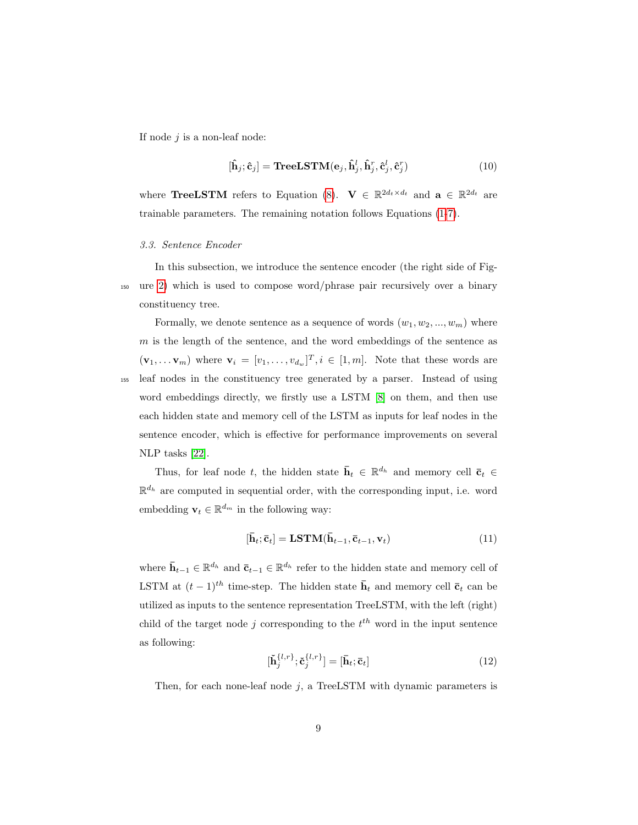If node  $j$  is a non-leaf node:

$$
[\hat{\mathbf{h}}_j; \hat{\mathbf{c}}_j] = \textbf{TreeLSTM}(\mathbf{e}_j, \hat{\mathbf{h}}_j^l, \hat{\mathbf{h}}_j^r, \hat{\mathbf{c}}_j^l, \hat{\mathbf{c}}_j^r)
$$
(10)

where **TreeLSTM** refers to Equation [\(8\)](#page-7-1).  $\mathbf{V} \in \mathbb{R}^{2d_t \times d_t}$  and  $\mathbf{a} \in \mathbb{R}^{2d_t}$  are trainable parameters. The remaining notation follows Equations [\(1-](#page-6-1)[7\)](#page-7-2).

#### <span id="page-8-0"></span>3.3. Sentence Encoder

In this subsection, we introduce the sentence encoder (the right side of Fig-<sup>150</sup> ure [2\)](#page-6-0) which is used to compose word/phrase pair recursively over a binary constituency tree.

Formally, we denote sentence as a sequence of words  $(w_1, w_2, ..., w_m)$  where  $m$  is the length of the sentence, and the word embeddings of the sentence as  $(\mathbf{v}_1, \dots \mathbf{v}_m)$  where  $\mathbf{v}_i = [v_1, \dots, v_{d_w}]^T$ ,  $i \in [1, m]$ . Note that these words are <sup>155</sup> leaf nodes in the constituency tree generated by a parser. Instead of using word embeddings directly, we firstly use a LSTM [\[8\]](#page-23-3) on them, and then use each hidden state and memory cell of the LSTM as inputs for leaf nodes in the sentence encoder, which is effective for performance improvements on several NLP tasks [\[22\]](#page-25-3).

Thus, for leaf node t, the hidden state  $\bar{\mathbf{h}}_t \in \mathbb{R}^{d_h}$  and memory cell  $\bar{\mathbf{c}}_t \in$  $\mathbb{R}^{d_h}$  are computed in sequential order, with the corresponding input, i.e. word embedding  $\mathbf{v}_t \in \mathbb{R}^{d_m}$  in the following way:

$$
[\bar{\mathbf{h}}_t; \bar{\mathbf{c}}_t] = \mathbf{LSTM}(\bar{\mathbf{h}}_{t-1}, \bar{\mathbf{c}}_{t-1}, \mathbf{v}_t)
$$
\n(11)

where  $\bar{\mathbf{h}}_{t-1} \in \mathbb{R}^{d_h}$  and  $\bar{\mathbf{c}}_{t-1} \in \mathbb{R}^{d_h}$  refer to the hidden state and memory cell of LSTM at  $(t-1)^{th}$  time-step. The hidden state  $\bar{\mathbf{h}}_t$  and memory cell  $\bar{\mathbf{c}}_t$  can be utilized as inputs to the sentence representation TreeLSTM, with the left (right) child of the target node j corresponding to the  $t^{th}$  word in the input sentence as following:

$$
[\tilde{\mathbf{h}}_{j}^{\{l,r\}}; \tilde{\mathbf{c}}_{j}^{\{l,r\}}] = [\bar{\mathbf{h}}_{t}; \bar{\mathbf{c}}_{t}]
$$
\n(12)

Then, for each none-leaf node  $j$ , a TreeLSTM with dynamic parameters is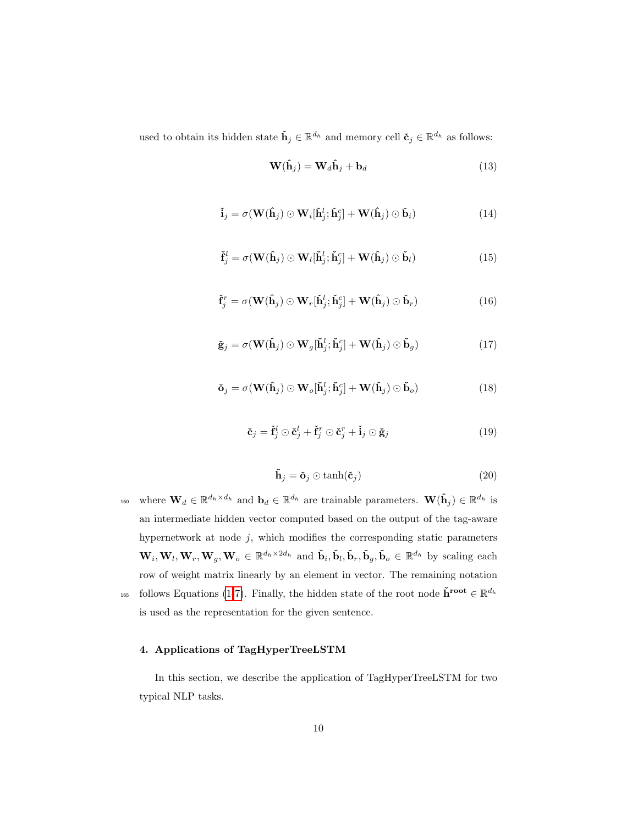used to obtain its hidden state  $\check{\mathbf{h}}_j \in \mathbb{R}^{d_h}$  and memory cell  $\check{\mathbf{c}}_j \in \mathbb{R}^{d_h}$  as follows:

$$
\mathbf{W}(\hat{\mathbf{h}}_j) = \mathbf{W}_d \hat{\mathbf{h}}_j + \mathbf{b}_d \tag{13}
$$

$$
\tilde{\mathbf{i}}_{j} = \sigma(\mathbf{W}(\hat{\mathbf{h}}_{j}) \odot \mathbf{W}_{i}[\tilde{\mathbf{h}}_{j}^{l}; \tilde{\mathbf{h}}_{j}^{c}] + \mathbf{W}(\hat{\mathbf{h}}_{j}) \odot \tilde{\mathbf{b}}_{i})
$$
\n(14)

$$
\check{\mathbf{f}}_j^l = \sigma(\mathbf{W}(\hat{\mathbf{h}}_j) \odot \mathbf{W}_l[\check{\mathbf{h}}_j^l; \check{\mathbf{h}}_j^c] + \mathbf{W}(\hat{\mathbf{h}}_j) \odot \check{\mathbf{b}}_l)
$$
(15)

$$
\check{\mathbf{f}}_j^r = \sigma(\mathbf{W}(\hat{\mathbf{h}}_j) \odot \mathbf{W}_r[\check{\mathbf{h}}_j^l; \check{\mathbf{h}}_j^c] + \mathbf{W}(\hat{\mathbf{h}}_j) \odot \check{\mathbf{b}}_r)
$$
(16)

$$
\check{\mathbf{g}}_{j} = \sigma(\mathbf{W}(\hat{\mathbf{h}}_{j}) \odot \mathbf{W}_{g}[\check{\mathbf{h}}_{j}^{l}; \check{\mathbf{h}}_{j}^{c}] + \mathbf{W}(\hat{\mathbf{h}}_{j}) \odot \check{\mathbf{b}}_{g})
$$
\n(17)

$$
\check{\mathbf{o}}_j = \sigma(\mathbf{W}(\hat{\mathbf{h}}_j) \odot \mathbf{W}_o[\check{\mathbf{h}}_j^l; \check{\mathbf{h}}_j^c] + \mathbf{W}(\hat{\mathbf{h}}_j) \odot \check{\mathbf{b}}_o)
$$
(18)

$$
\tilde{\mathbf{c}}_j = \tilde{\mathbf{f}}_j^l \odot \tilde{\mathbf{c}}_j^l + \tilde{\mathbf{f}}_j^r \odot \tilde{\mathbf{c}}_j^r + \tilde{\mathbf{i}}_j \odot \tilde{\mathbf{g}}_j \tag{19}
$$

$$
\tilde{\mathbf{h}}_j = \tilde{\mathbf{o}}_j \odot \tanh(\tilde{\mathbf{c}}_j) \tag{20}
$$

<sup>160</sup> where  $\mathbf{W}_d \in \mathbb{R}^{d_h \times d_h}$  and  $\mathbf{b}_d \in \mathbb{R}^{d_h}$  are trainable parameters.  $\mathbf{W}(\hat{\mathbf{h}}_j) \in \mathbb{R}^{d_h}$  is an intermediate hidden vector computed based on the output of the tag-aware hypernetwork at node  $j$ , which modifies the corresponding static parameters  $\mathbf{W}_i, \mathbf{W}_l, \mathbf{W}_r, \mathbf{W}_g, \mathbf{W}_o \in \mathbb{R}^{d_h \times 2d_h}$  and  $\check{\mathbf{b}}_i, \check{\mathbf{b}}_l, \check{\mathbf{b}}_r, \check{\mathbf{b}}_g, \check{\mathbf{b}}_o \in \mathbb{R}^{d_h}$  by scaling each row of weight matrix linearly by an element in vector. The remaining notation <sup>165</sup> follows Equations [\(1-](#page-6-1)[7\)](#page-7-2). Finally, the hidden state of the root node  $\check{h}^{root} \in \mathbb{R}^{d_h}$ is used as the representation for the given sentence.

# 4. Applications of TagHyperTreeLSTM

In this section, we describe the application of TagHyperTreeLSTM for two typical NLP tasks.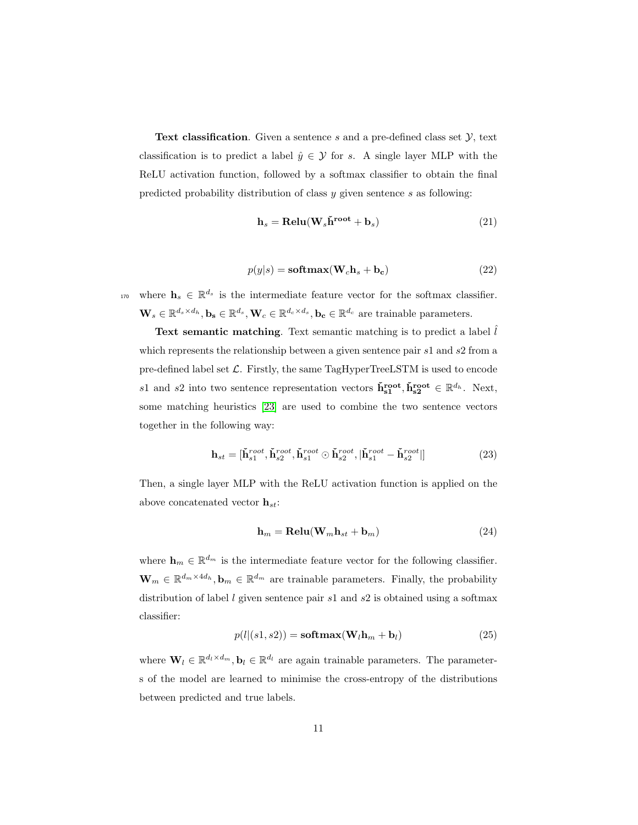**Text classification.** Given a sentence s and a pre-defined class set  $\mathcal{Y}$ , text classification is to predict a label  $\hat{y} \in \mathcal{Y}$  for s. A single layer MLP with the ReLU activation function, followed by a softmax classifier to obtain the final predicted probability distribution of class y given sentence s as following:

$$
\mathbf{h}_s = \mathbf{Relu}(\mathbf{W}_s \check{\mathbf{h}}^{\text{root}} + \mathbf{b}_s) \tag{21}
$$

$$
p(y|s) = \mathbf{softmax}(\mathbf{W}_c \mathbf{h}_s + \mathbf{b}_c)
$$
 (22)

<sup>170</sup> where  $\mathbf{h}_s \in \mathbb{R}^{d_s}$  is the intermediate feature vector for the softmax classifier.  $\mathbf{W}_s \in \mathbb{R}^{d_s \times d_h}, \mathbf{b_s} \in \mathbb{R}^{d_s}, \mathbf{W}_c \in \mathbb{R}^{d_c \times d_s}, \mathbf{b_c} \in \mathbb{R}^{d_c}$  are trainable parameters.

**Text semantic matching.** Text semantic matching is to predict a label  $\hat{l}$ which represents the relationship between a given sentence pair s1 and s2 from a pre-defined label set  $\mathcal{L}$ . Firstly, the same TagHyperTreeLSTM is used to encode s1 and s2 into two sentence representation vectors  $\tilde{\mathbf{h}}_{s1}^{\text{root}}, \tilde{\mathbf{h}}_{s2}^{\text{root}} \in \mathbb{R}^{d_h}$ . Next, some matching heuristics [\[23\]](#page-25-4) are used to combine the two sentence vectors together in the following way:

$$
\mathbf{h}_{st} = [\mathbf{\check{h}}_{s1}^{root}, \mathbf{\check{h}}_{s2}^{root}, \mathbf{\check{h}}_{s1}^{root} \odot \mathbf{\check{h}}_{s2}^{root}, |\mathbf{\check{h}}_{s1}^{root} - \mathbf{\check{h}}_{s2}^{root}|]
$$
(23)

Then, a single layer MLP with the ReLU activation function is applied on the above concatenated vector  $\mathbf{h}_{st}$ :

$$
\mathbf{h}_m = \mathbf{Relu}(\mathbf{W}_m \mathbf{h}_{st} + \mathbf{b}_m) \tag{24}
$$

where  $\mathbf{h}_m \in \mathbb{R}^{d_m}$  is the intermediate feature vector for the following classifier.  $\mathbf{W}_m \in \mathbb{R}^{d_m \times 4d_h}, \mathbf{b}_m \in \mathbb{R}^{d_m}$  are trainable parameters. Finally, the probability distribution of label  $l$  given sentence pair  $s1$  and  $s2$  is obtained using a softmax classifier:

$$
p(l|(s1, s2)) = \text{softmax}(\mathbf{W}_l \mathbf{h}_m + \mathbf{b}_l)
$$
\n(25)

where  $\mathbf{W}_l \in \mathbb{R}^{d_l \times d_m}$ ,  $\mathbf{b}_l \in \mathbb{R}^{d_l}$  are again trainable parameters. The parameters of the model are learned to minimise the cross-entropy of the distributions between predicted and true labels.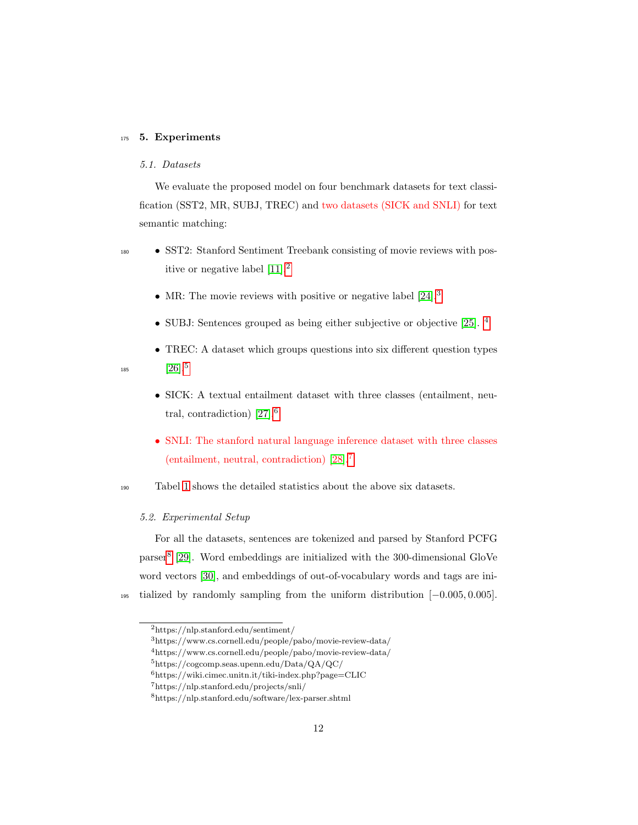# 175 5. Experiments

# 5.1. Datasets

We evaluate the proposed model on four benchmark datasets for text classification (SST2, MR, SUBJ, TREC) and two datasets (SICK and SNLI) for text semantic matching:

- <sup>180</sup> SST2: Stanford Sentiment Treebank consisting of movie reviews with positive or negative label [\[11\]](#page-23-6).[2](#page-11-0)
	- MR: The movie reviews with positive or negative label [\[24\]](#page-25-5).<sup>[3](#page-11-1)</sup>
	- SUBJ: Sentences grouped as being either subjective or objective [\[25\]](#page-26-0). <sup>[4](#page-11-2)</sup>
	- TREC: A dataset which groups questions into six different question types  $[26]$ <sup>[5](#page-11-3)</sup>

185

- SICK: A textual entailment dataset with three classes (entailment, neutral, contradiction) [\[27\]](#page-26-2).[6](#page-11-4)
- SNLI: The stanford natural language inference dataset with three classes (entailment, neutral, contradiction) [\[28\]](#page-26-3).[7](#page-11-5)

<sup>190</sup> Tabel [1](#page-12-0) shows the detailed statistics about the above six datasets.

# 5.2. Experimental Setup

For all the datasets, sentences are tokenized and parsed by Stanford PCFG parser[8](#page-11-6) [\[29\]](#page-26-4). Word embeddings are initialized with the 300-dimensional GloVe word vectors [\[30\]](#page-26-5), and embeddings of out-of-vocabulary words and tags are ini-<sup>195</sup> tialized by randomly sampling from the uniform distribution [−0.005, 0.005].

<span id="page-11-1"></span><span id="page-11-0"></span><sup>2</sup>https://nlp.stanford.edu/sentiment/

<span id="page-11-2"></span><sup>3</sup>https://www.cs.cornell.edu/people/pabo/movie-review-data/

<span id="page-11-3"></span><sup>4</sup>https://www.cs.cornell.edu/people/pabo/movie-review-data/

<span id="page-11-4"></span><sup>5</sup>https://cogcomp.seas.upenn.edu/Data/QA/QC/

<span id="page-11-5"></span> $^6$ https://wiki.cimec.unitn.it/tiki-index.php?page=CLIC

<span id="page-11-6"></span><sup>7</sup>https://nlp.stanford.edu/projects/snli/

<sup>8</sup>https://nlp.stanford.edu/software/lex-parser.shtml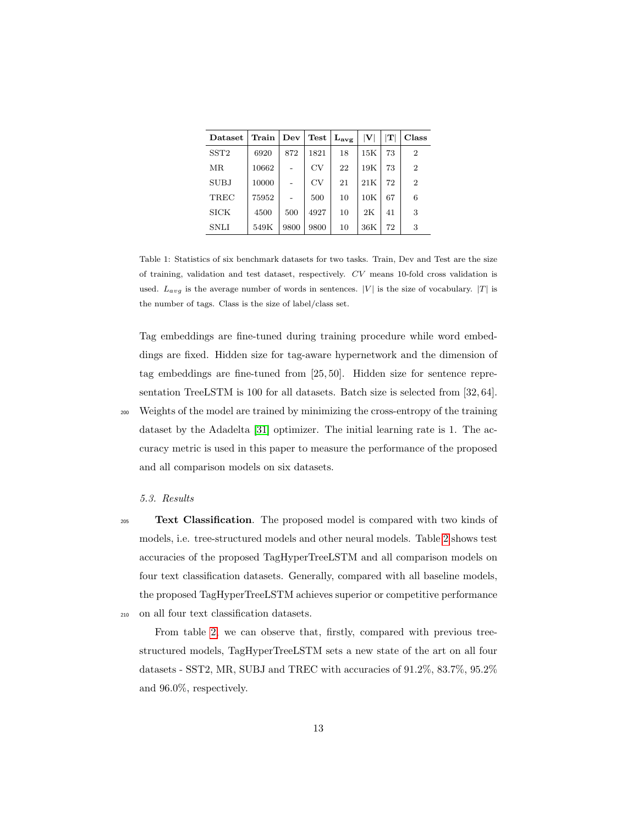| Dataset     | Train | Dev  | $\operatorname{\mathbf{Test}}$ | $\mathbf{L_{avg}}$ | $ \mathbf{V} $ | $\mathbf T$ | Class          |
|-------------|-------|------|--------------------------------|--------------------|----------------|-------------|----------------|
| SST2        | 6920  | 872  | 1821                           | 18                 | $15\mathrm{K}$ | 73          | $\overline{2}$ |
| MR          | 10662 |      | CV                             | 22                 | 19K            | 73          | $\overline{2}$ |
| <b>SUBJ</b> | 10000 |      | CV                             | 21                 | 21K            | 72          | $\overline{2}$ |
| TREC        | 75952 |      | 500                            | 10                 | 10K            | 67          | 6              |
| <b>SICK</b> | 4500  | 500  | 4927                           | 10                 | 2K             | 41          | 3              |
| <b>SNLI</b> | 549K  | 9800 | 9800                           | 10                 | 36K            | 72          | 3              |

<span id="page-12-0"></span>Table 1: Statistics of six benchmark datasets for two tasks. Train, Dev and Test are the size of training, validation and test dataset, respectively. CV means 10-fold cross validation is used.  $L_{avg}$  is the average number of words in sentences. |V| is the size of vocabulary. |T| is the number of tags. Class is the size of label/class set.

Tag embeddings are fine-tuned during training procedure while word embeddings are fixed. Hidden size for tag-aware hypernetwork and the dimension of tag embeddings are fine-tuned from [25, 50]. Hidden size for sentence representation TreeLSTM is 100 for all datasets. Batch size is selected from [32, 64]. <sup>200</sup> Weights of the model are trained by minimizing the cross-entropy of the training dataset by the Adadelta [\[31\]](#page-26-6) optimizer. The initial learning rate is 1. The accuracy metric is used in this paper to measure the performance of the proposed and all comparison models on six datasets.

# 5.3. Results

<sup>205</sup> Text Classification. The proposed model is compared with two kinds of models, i.e. tree-structured models and other neural models. Table [2](#page-13-0) shows test accuracies of the proposed TagHyperTreeLSTM and all comparison models on four text classification datasets. Generally, compared with all baseline models, the proposed TagHyperTreeLSTM achieves superior or competitive performance <sup>210</sup> on all four text classification datasets.

From table [2,](#page-13-0) we can observe that, firstly, compared with previous treestructured models, TagHyperTreeLSTM sets a new state of the art on all four datasets - SST2, MR, SUBJ and TREC with accuracies of 91.2%, 83.7%, 95.2% and 96.0%, respectively.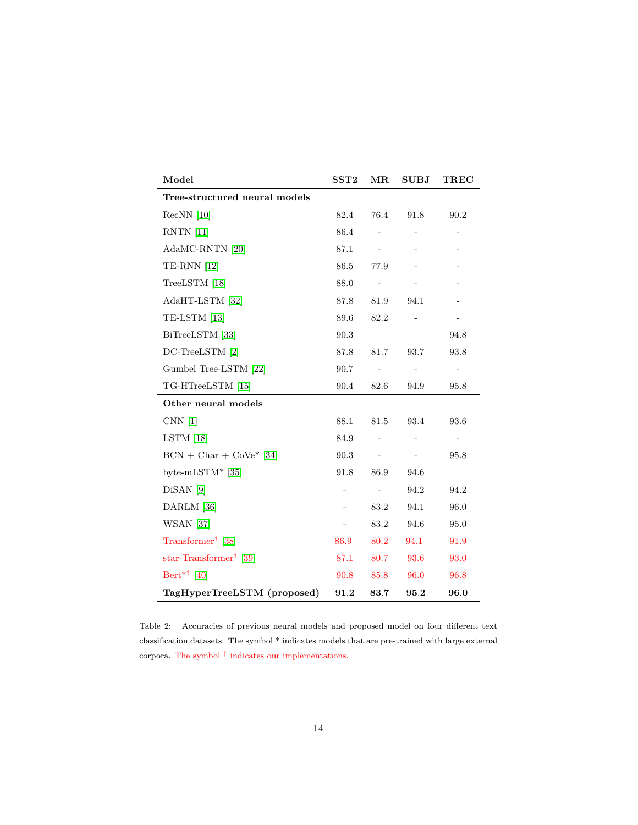| Model                              | SST2 | MR                           | <b>SUBJ</b>    | <b>TREC</b>              |  |  |
|------------------------------------|------|------------------------------|----------------|--------------------------|--|--|
| Tree-structured neural models      |      |                              |                |                          |  |  |
| $RecNN$ [10]                       | 82.4 | 76.4                         | 91.8           | 90.2                     |  |  |
| RNTN [11]                          | 86.4 |                              |                |                          |  |  |
| AdaMC-RNTN [20]                    | 87.1 |                              |                |                          |  |  |
| <b>TE-RNN</b> [12]                 | 86.5 | 77.9                         |                |                          |  |  |
| TreeLSTM [18]                      | 88.0 | $\qquad \qquad \blacksquare$ |                |                          |  |  |
| AdaHT-LSTM [32]                    | 87.8 | 81.9                         | 94.1           |                          |  |  |
| TE-LSTM [13]                       | 89.6 | 82.2                         |                |                          |  |  |
| BiTreeLSTM [33]                    | 90.3 |                              |                | 94.8                     |  |  |
| DC-TreeLSTM [2]                    | 87.8 | 81.7                         | 93.7           | 93.8                     |  |  |
| Gumbel Tree-LSTM [22]              | 90.7 |                              | $\blacksquare$ | $\overline{\phantom{a}}$ |  |  |
| TG-HTreeLSTM [15]                  | 90.4 | 82.6                         | 94.9           | 95.8                     |  |  |
| Other neural models                |      |                              |                |                          |  |  |
| CNN <sub>[1]</sub>                 | 88.1 | 81.5                         | 93.4           | 93.6                     |  |  |
| $LSTM$ [18]                        | 84.9 |                              |                |                          |  |  |
| $BCN + Char + CoVe* [34]$          | 90.3 | $\qquad \qquad \blacksquare$ |                | 95.8                     |  |  |
| byte-mLSTM* $[35]$                 | 91.8 | 86.9                         | 94.6           |                          |  |  |
| $DisAN$ [9]                        | -    | $\overline{\phantom{a}}$     | 94.2           | 94.2                     |  |  |
| DARLM [36]                         |      | 83.2                         | 94.1           | 96.0                     |  |  |
| <b>WSAN</b> [37]                   |      | 83.2                         | 94.6           | 95.0                     |  |  |
| Transformer <sup>†</sup> [38]      | 86.9 | 80.2                         | 94.1           | 91.9                     |  |  |
| star-Transformer <sup>†</sup> [39] | 87.1 | 80.7                         | 93.6           | 93.0                     |  |  |
| Bert <sup>*†</sup> [40]            | 90.8 | 85.8                         | 96.0           | 96.8                     |  |  |
| TagHyperTreeLSTM (proposed)        | 91.2 | 83.7                         | 95.2           | 96.0                     |  |  |

<span id="page-13-0"></span>Table 2: Accuracies of previous neural models and proposed model on four different text classification datasets. The symbol \* indicates models that are pre-trained with large external corpora. The symbol  $\dagger$  indicates our implementations.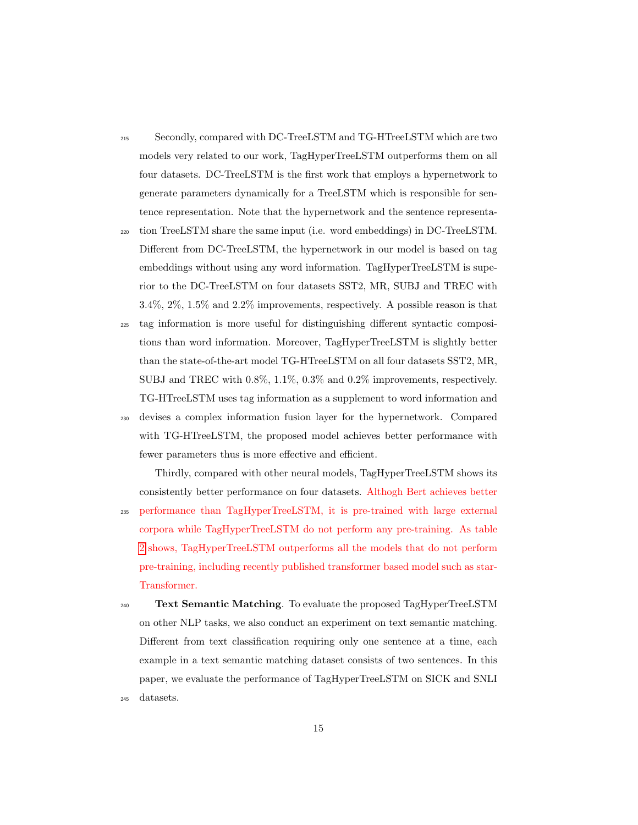- <sup>215</sup> Secondly, compared with DC-TreeLSTM and TG-HTreeLSTM which are two models very related to our work, TagHyperTreeLSTM outperforms them on all four datasets. DC-TreeLSTM is the first work that employs a hypernetwork to generate parameters dynamically for a TreeLSTM which is responsible for sentence representation. Note that the hypernetwork and the sentence representa-
- <sup>220</sup> tion TreeLSTM share the same input (i.e. word embeddings) in DC-TreeLSTM. Different from DC-TreeLSTM, the hypernetwork in our model is based on tag embeddings without using any word information. TagHyperTreeLSTM is superior to the DC-TreeLSTM on four datasets SST2, MR, SUBJ and TREC with 3.4%, 2%, 1.5% and 2.2% improvements, respectively. A possible reason is that
- <sup>225</sup> tag information is more useful for distinguishing different syntactic compositions than word information. Moreover, TagHyperTreeLSTM is slightly better than the state-of-the-art model TG-HTreeLSTM on all four datasets SST2, MR, SUBJ and TREC with 0.8%, 1.1%, 0.3% and 0.2% improvements, respectively. TG-HTreeLSTM uses tag information as a supplement to word information and
- <sup>230</sup> devises a complex information fusion layer for the hypernetwork. Compared with TG-HTreeLSTM, the proposed model achieves better performance with fewer parameters thus is more effective and efficient.

Thirdly, compared with other neural models, TagHyperTreeLSTM shows its consistently better performance on four datasets. Althogh Bert achieves better

- <sup>235</sup> performance than TagHyperTreeLSTM, it is pre-trained with large external corpora while TagHyperTreeLSTM do not perform any pre-training. As table [2](#page-13-0) shows, TagHyperTreeLSTM outperforms all the models that do not perform pre-training, including recently published transformer based model such as star-Transformer.
- $_{240}$  Text Semantic Matching. To evaluate the proposed TagHyperTreeLSTM on other NLP tasks, we also conduct an experiment on text semantic matching. Different from text classification requiring only one sentence at a time, each example in a text semantic matching dataset consists of two sentences. In this paper, we evaluate the performance of TagHyperTreeLSTM on SICK and SNLI <sup>245</sup> datasets.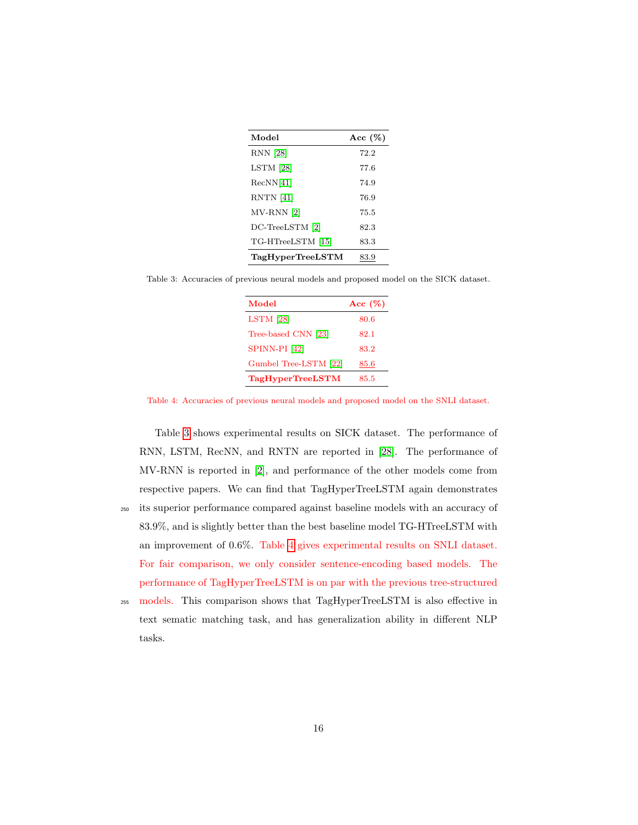| Model                   | Acc $(\%)$ |
|-------------------------|------------|
| RNN [28]                | 72.2       |
| $LSTM$ [28]             | 77.6       |
| RecNN[41]               | 74.9       |
| RNTN [41]               | 76.9       |
| $MV-RNN$ [2]            | 75.5       |
| DC-TreeLSTM [2]         | 82.3       |
| TG-HTreeLSTM [15]       | 83.3       |
| <b>TagHyperTreeLSTM</b> | 83.9       |

<span id="page-15-0"></span>Table 3: Accuracies of previous neural models and proposed model on the SICK dataset.

| Model                   | Acc $(\%)$ |
|-------------------------|------------|
| $LSTM$ [28]             | 80.6       |
| Tree-based CNN [23]     | 82.1       |
| SPINN-PI [42]           | 83.2       |
| Gumbel Tree-LSTM [22]   | 85.6       |
| <b>TagHyperTreeLSTM</b> | 85.5       |

<span id="page-15-1"></span>Table 4: Accuracies of previous neural models and proposed model on the SNLI dataset.

Table [3](#page-15-0) shows experimental results on SICK dataset. The performance of RNN, LSTM, RecNN, and RNTN are reported in [\[28\]](#page-26-3). The performance of MV-RNN is reported in [\[2\]](#page-22-1), and performance of the other models come from respective papers. We can find that TagHyperTreeLSTM again demonstrates <sup>250</sup> its superior performance compared against baseline models with an accuracy of 83.9%, and is slightly better than the best baseline model TG-HTreeLSTM with an improvement of 0.6%. Table [4](#page-15-1) gives experimental results on SNLI dataset. For fair comparison, we only consider sentence-encoding based models. The performance of TagHyperTreeLSTM is on par with the previous tree-structured

255 models. This comparison shows that TagHyperTreeLSTM is also effective in text sematic matching task, and has generalization ability in different NLP tasks.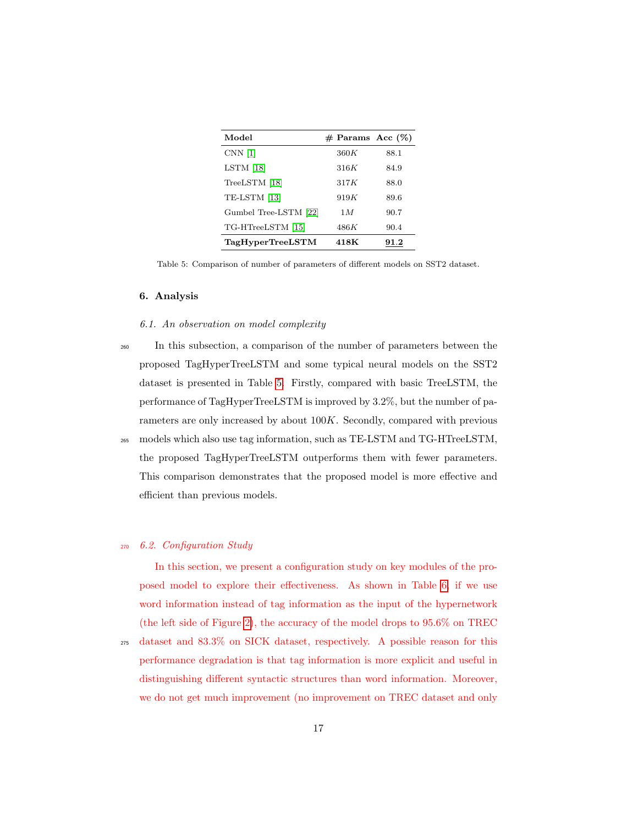| Model                 | $#$ Params Acc $(\%)$ |      |
|-----------------------|-----------------------|------|
| $CNN$ [1]             | 360K                  | 88.1 |
| $LSTM$ [18]           | 316K                  | 84.9 |
| TreeLSTM [18]         | 317K                  | 88.0 |
| TE-LSTM [13]          | 919K                  | 89.6 |
| Gumbel Tree-LSTM [22] | 1M                    | 90.7 |
| TG-HTreeLSTM [15]     | 486K                  | 90.4 |
| TagHyperTreeLSTM      | 418K                  | 91.2 |

<span id="page-16-0"></span>Table 5: Comparison of number of parameters of different models on SST2 dataset.

## 6. Analysis

# 6.1. An observation on model complexity

<sup>260</sup> In this subsection, a comparison of the number of parameters between the proposed TagHyperTreeLSTM and some typical neural models on the SST2 dataset is presented in Table [5.](#page-16-0) Firstly, compared with basic TreeLSTM, the performance of TagHyperTreeLSTM is improved by 3.2%, but the number of parameters are only increased by about 100K. Secondly, compared with previous <sup>265</sup> models which also use tag information, such as TE-LSTM and TG-HTreeLSTM,

the proposed TagHyperTreeLSTM outperforms them with fewer parameters. This comparison demonstrates that the proposed model is more effective and efficient than previous models.

# <sup>270</sup> 6.2. Configuration Study

In this section, we present a configuration study on key modules of the proposed model to explore their effectiveness. As shown in Table [6,](#page-17-0) if we use word information instead of tag information as the input of the hypernetwork (the left side of Figure [2\)](#page-6-0), the accuracy of the model drops to 95.6% on TREC

<sup>275</sup> dataset and 83.3% on SICK dataset, respectively. A possible reason for this performance degradation is that tag information is more explicit and useful in distinguishing different syntactic structures than word information. Moreover, we do not get much improvement (no improvement on TREC dataset and only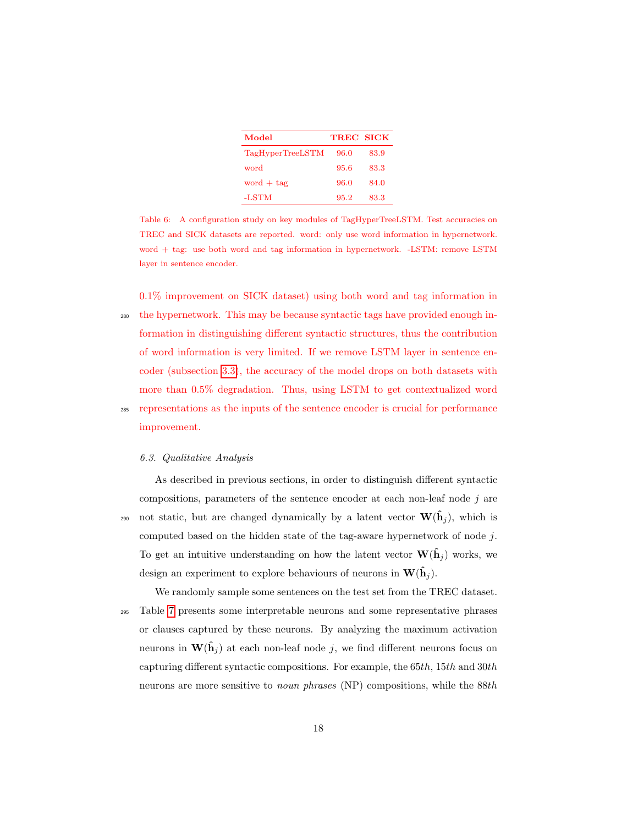| Model                   | <b>TREC SICK</b> |      |
|-------------------------|------------------|------|
| <b>TagHyperTreeLSTM</b> | 96.0             | 83.9 |
| word                    | 95.6             | 83.3 |
| word $+$ tag            | 96.0             | 84.0 |
| -LSTM                   | 95.2             | 83.3 |

<span id="page-17-0"></span>Table 6: A configuration study on key modules of TagHyperTreeLSTM. Test accuracies on TREC and SICK datasets are reported. word: only use word information in hypernetwork. word + tag: use both word and tag information in hypernetwork. -LSTM: remove LSTM layer in sentence encoder.

0.1% improvement on SICK dataset) using both word and tag information in <sup>280</sup> the hypernetwork. This may be because syntactic tags have provided enough information in distinguishing different syntactic structures, thus the contribution of word information is very limited. If we remove LSTM layer in sentence encoder (subsection [3.3\)](#page-8-0), the accuracy of the model drops on both datasets with more than 0.5% degradation. Thus, using LSTM to get contextualized word

<sup>285</sup> representations as the inputs of the sentence encoder is crucial for performance improvement.

# 6.3. Qualitative Analysis

As described in previous sections, in order to distinguish different syntactic compositions, parameters of the sentence encoder at each non-leaf node  $j$  are not static, but are changed dynamically by a latent vector  $\mathbf{W}(\hat{\mathbf{h}}_i)$ , which is computed based on the hidden state of the tag-aware hypernetwork of node  $j$ . To get an intuitive understanding on how the latent vector  $\mathbf{W}(\hat{\mathbf{h}}_i)$  works, we design an experiment to explore behaviours of neurons in  $\mathbf{W}(\hat{\mathbf{h}}_i)$ .

We randomly sample some sentences on the test set from the TREC dataset. <sup>295</sup> Table [7](#page-18-0) presents some interpretable neurons and some representative phrases or clauses captured by these neurons. By analyzing the maximum activation neurons in  $\mathbf{W}(\hat{\mathbf{h}}_j)$  at each non-leaf node j, we find different neurons focus on capturing different syntactic compositions. For example, the  $65th$ ,  $15th$  and  $30th$ neurons are more sensitive to noun phrases (NP) compositions, while the 88th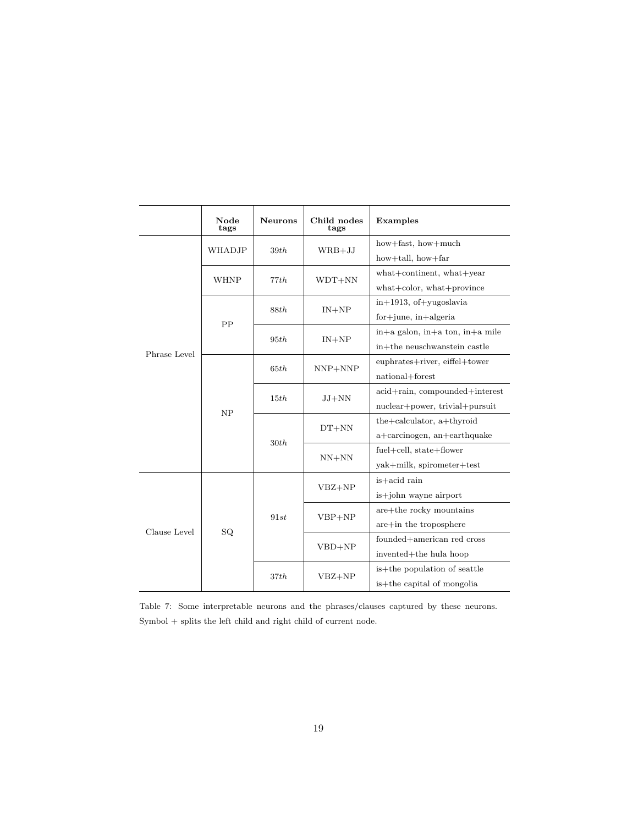|              | Node<br>tags | <b>Neurons</b> | Child nodes<br>tags | Examples                                                       |  |
|--------------|--------------|----------------|---------------------|----------------------------------------------------------------|--|
|              | WHADJP       | 39th           | $WRB+JJ$            | how+fast, how+much                                             |  |
|              |              |                |                     | how $+$ tall, how $+$ far                                      |  |
|              | <b>WHNP</b>  | 77th           | $WDT+NN$            | what+continent, what+year                                      |  |
|              |              |                |                     | what+color, what+province                                      |  |
|              | PP           | 88th           | $IN + NP$           | $in+1913$ , of $+$ yugoslavia                                  |  |
|              |              |                |                     | $for + june$ , $in + algebra$                                  |  |
|              |              | 95th           | $IN+NP$             | in+a galon, in+a ton, in+a mile                                |  |
| Phrase Level |              |                |                     | $\operatorname{in} + \operatorname{the}$ neuschwanstein castle |  |
|              | NP           | 65th           | $NNP+NNP$           | euphrates+river, eiffel+tower                                  |  |
|              |              |                |                     | national+forest                                                |  |
|              |              | 15th           | $JJ+NN$             | acid+rain, compounded+interest                                 |  |
|              |              |                |                     | nuclear+power, trivial+pursuit                                 |  |
|              |              | 30th           | $DT+NN$             | the+calculator, a+thyroid                                      |  |
|              |              |                |                     | a+carcinogen, an+earthquake                                    |  |
|              |              |                | $NN+NN$             | fuel+cell, state+flower                                        |  |
|              |              |                |                     | yak+milk, spirometer+test                                      |  |
|              | SQ.          | 91st           | $VBZ + NP$          | is+acid rain                                                   |  |
|              |              |                |                     | is+john wayne airport                                          |  |
| Clause Level |              |                | $VBP+NP$            | are+the rocky mountains                                        |  |
|              |              |                |                     | $are+$ in the troposphere                                      |  |
|              |              |                | $VBD+NP$            | founded+american red cross                                     |  |
|              |              |                |                     | invented+the hula hoop                                         |  |
|              |              | 37th           | $VBZ + NP$          | is+the population of seattle                                   |  |
|              |              |                |                     | is+the capital of mongolia                                     |  |

<span id="page-18-0"></span>Table 7: Some interpretable neurons and the phrases/clauses captured by these neurons.  $\mbox{Symbol}$  + splits the left child and right child of current node.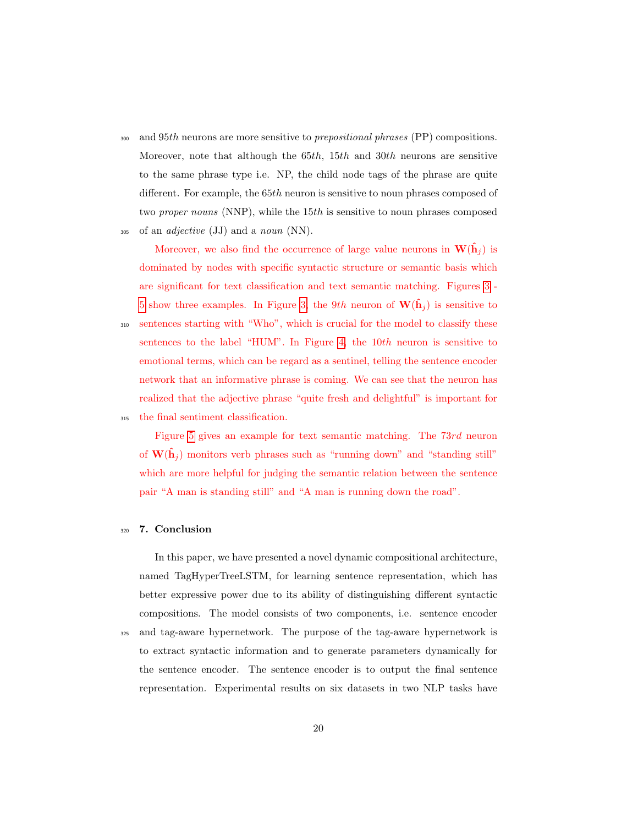300 and 95th neurons are more sensitive to *prepositional phrases* (PP) compositions. Moreover, note that although the  $65th$ ,  $15th$  and  $30th$  neurons are sensitive to the same phrase type i.e. NP, the child node tags of the phrase are quite different. For example, the 65th neuron is sensitive to noun phrases composed of two *proper nouns* (NNP), while the 15th is sensitive to noun phrases composed

 $_{305}$  of an *adjective* (JJ) and a *noun* (NN).

Moreover, we also find the occurrence of large value neurons in  $\mathbf{W}(\hat{\mathbf{h}}_j)$  is dominated by nodes with specific syntactic structure or semantic basis which are significant for text classification and text semantic matching. Figures [3](#page-20-0) - [5](#page-21-0) show three examples. In Figure [3,](#page-20-0) the 9th neuron of  $\mathbf{W}(\hat{\mathbf{h}}_j)$  is sensitive to <sup>310</sup> sentences starting with "Who", which is crucial for the model to classify these sentences to the label "HUM". In Figure [4,](#page-20-1) the  $10th$  neuron is sensitive to emotional terms, which can be regard as a sentinel, telling the sentence encoder network that an informative phrase is coming. We can see that the neuron has realized that the adjective phrase "quite fresh and delightful" is important for <sup>315</sup> the final sentiment classification.

Figure [5](#page-21-0) gives an example for text semantic matching. The 73rd neuron of  $\mathbf{W}(\hat{\mathbf{h}}_i)$  monitors verb phrases such as "running down" and "standing still" which are more helpful for judging the semantic relation between the sentence pair "A man is standing still" and "A man is running down the road".

#### <sup>320</sup> 7. Conclusion

In this paper, we have presented a novel dynamic compositional architecture, named TagHyperTreeLSTM, for learning sentence representation, which has better expressive power due to its ability of distinguishing different syntactic compositions. The model consists of two components, i.e. sentence encoder <sup>325</sup> and tag-aware hypernetwork. The purpose of the tag-aware hypernetwork is to extract syntactic information and to generate parameters dynamically for the sentence encoder. The sentence encoder is to output the final sentence representation. Experimental results on six datasets in two NLP tasks have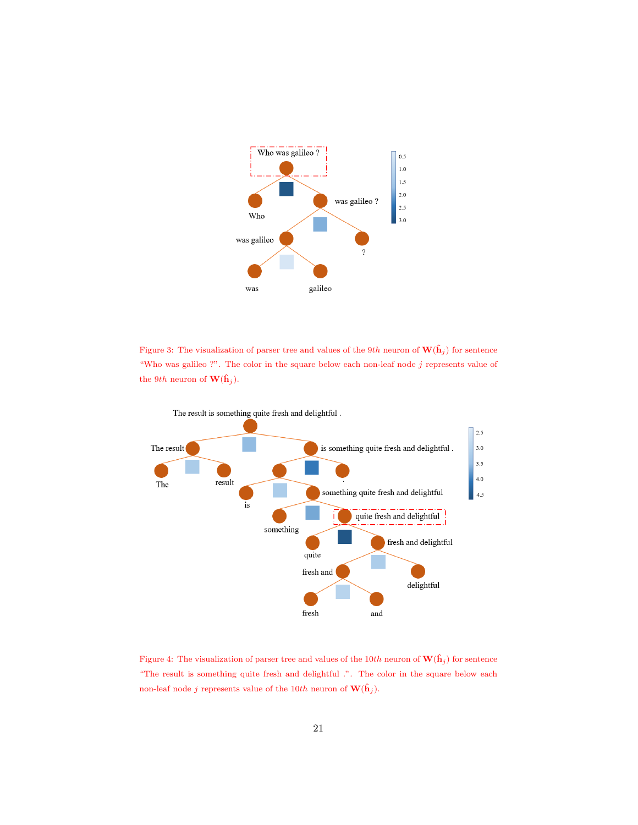

<span id="page-20-0"></span>Figure 3: The visualization of parser tree and values of the 9th neuron of  $\mathbf{W}(\hat{\mathbf{h}}_j)$  for sentence "Who was galileo ?". The color in the square below each non-leaf node  $j$  represents value of the 9th neuron of  $\mathbf{W}(\hat{\mathbf{h}}_j)$ .



<span id="page-20-1"></span>Figure 4: The visualization of parser tree and values of the 10th neuron of  $\mathbf{W}(\hat{\mathbf{h}}_j)$  for sentence "The result is something quite fresh and delightful .". The color in the square below each non-leaf node j represents value of the 10th neuron of  $\mathbf{W}(\hat{\mathbf{h}}_j)$ .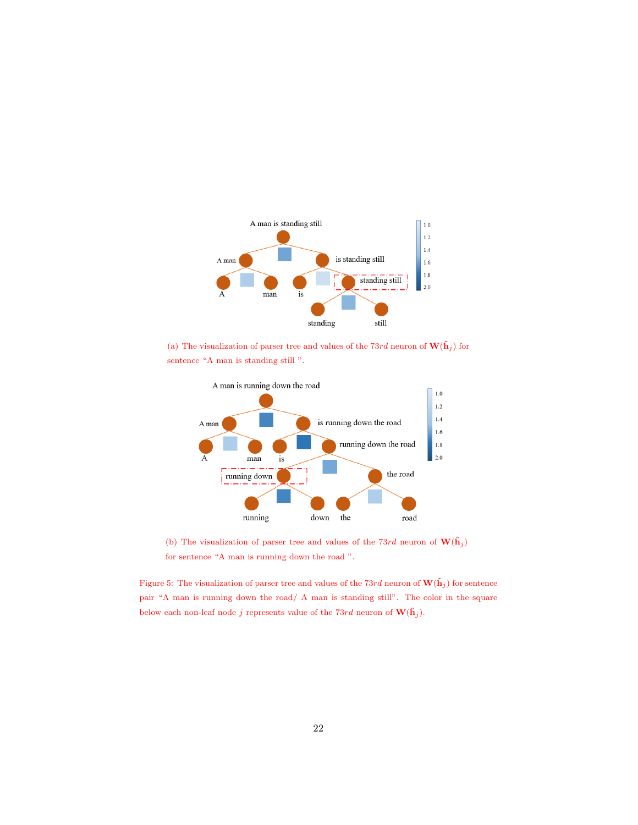

(a) The visualization of parser tree and values of the 73rd neuron of  $\mathbf{W}(\hat{\mathbf{h}}_j)$  for sentence "A man is standing still ".



<span id="page-21-0"></span>(b) The visualization of parser tree and values of the 73rd neuron of  $\mathbf{W}(\hat{\mathbf{h}}_j)$ for sentence "A man is running down the road ".

Figure 5: The visualization of parser tree and values of the 73rd neuron of  $\mathbf{W}(\hat{\mathbf{h}}_j)$  for sentence pair "A man is running down the road/ A man is standing still". The color in the square below each non-leaf node  $j$  represents value of the  $73rd$  neuron of  $\mathbf{W}(\hat{\mathbf{h}}_j).$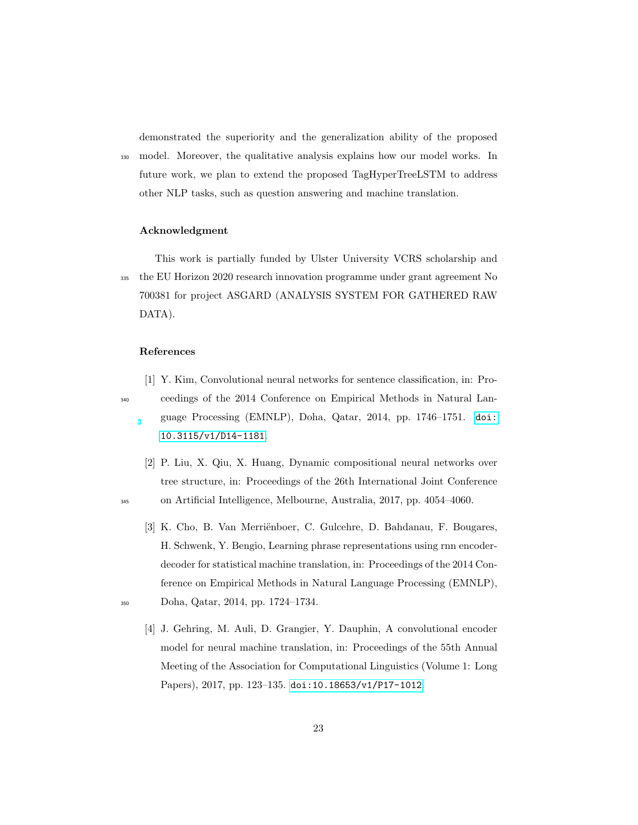demonstrated the superiority and the generalization ability of the proposed <sup>330</sup> model. Moreover, the qualitative analysis explains how our model works. In future work, we plan to extend the proposed TagHyperTreeLSTM to address other NLP tasks, such as question answering and machine translation.

# Acknowledgment

This work is partially funded by Ulster University VCRS scholarship and <sup>335</sup> the EU Horizon 2020 research innovation programme under grant agreement No 700381 for project ASGARD (ANALYSIS SYSTEM FOR GATHERED RAW DATA).

#### <span id="page-22-0"></span>References

- [1] Y. Kim, Convolutional neural networks for sentence classification, in: Pro-<sup>340</sup> ceedings of the 2014 Conference on Empirical Methods in Natural Language Processing (EMNLP), Doha, Qatar, 2014, pp. 1746–1751. [doi:](http://dx.doi.org/10.3115/v1/D14-1181) [10.3115/v1/D14-1181](http://dx.doi.org/10.3115/v1/D14-1181).
- <span id="page-22-1"></span>[2] P. Liu, X. Qiu, X. Huang, Dynamic compositional neural networks over tree structure, in: Proceedings of the 26th International Joint Conference <sup>345</sup> on Artificial Intelligence, Melbourne, Australia, 2017, pp. 4054–4060.
- <span id="page-22-2"></span>[3] K. Cho, B. Van Merriënboer, C. Gulcehre, D. Bahdanau, F. Bougares, H. Schwenk, Y. Bengio, Learning phrase representations using rnn encoderdecoder for statistical machine translation, in: Proceedings of the 2014 Conference on Empirical Methods in Natural Language Processing (EMNLP), <sup>350</sup> Doha, Qatar, 2014, pp. 1724–1734.
- 
- <span id="page-22-3"></span>[4] J. Gehring, M. Auli, D. Grangier, Y. Dauphin, A convolutional encoder model for neural machine translation, in: Proceedings of the 55th Annual Meeting of the Association for Computational Linguistics (Volume 1: Long Papers), 2017, pp. 123–135. [doi:10.18653/v1/P17-1012](http://dx.doi.org/10.18653/v1/P17-1012).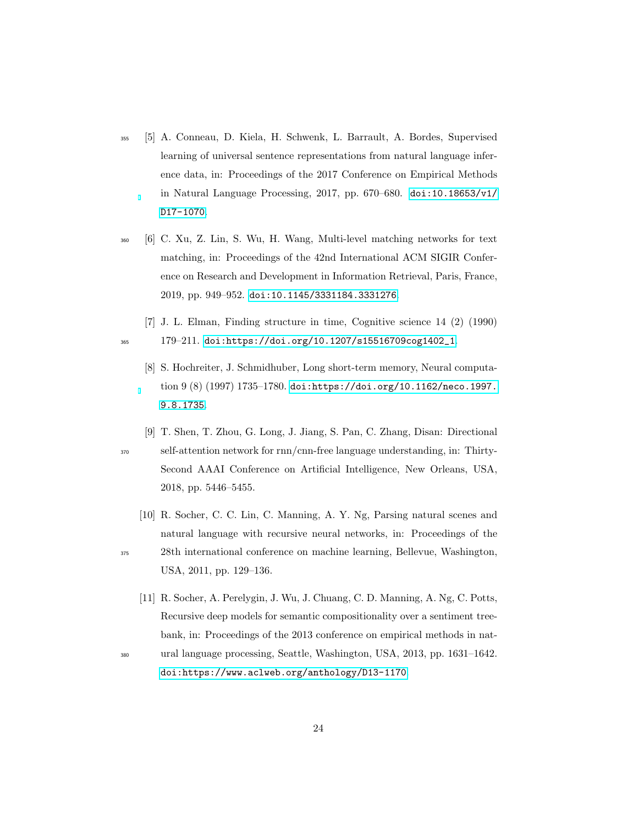- <span id="page-23-0"></span><sup>355</sup> [5] A. Conneau, D. Kiela, H. Schwenk, L. Barrault, A. Bordes, Supervised learning of universal sentence representations from natural language inference data, in: Proceedings of the 2017 Conference on Empirical Methods in Natural Language Processing, 2017, pp. 670–680. [doi:10.18653/v1/](http://dx.doi.org/10.18653/v1/D17-1070) [D17-1070](http://dx.doi.org/10.18653/v1/D17-1070).
- <span id="page-23-1"></span><sup>360</sup> [6] C. Xu, Z. Lin, S. Wu, H. Wang, Multi-level matching networks for text matching, in: Proceedings of the 42nd International ACM SIGIR Conference on Research and Development in Information Retrieval, Paris, France, 2019, pp. 949–952. [doi:10.1145/3331184.3331276](http://dx.doi.org/10.1145/3331184.3331276).
- <span id="page-23-3"></span><span id="page-23-2"></span>[7] J. L. Elman, Finding structure in time, Cognitive science 14 (2) (1990) <sup>365</sup> 179–211. [doi:https://doi.org/10.1207/s15516709cog1402\\_1](http://dx.doi.org/https://doi.org/10.1207/s15516709cog1402_1).
	- [8] S. Hochreiter, J. Schmidhuber, Long short-term memory, Neural computation 9 (8) (1997) 1735–1780. [doi:https://doi.org/10.1162/neco.1997.](http://dx.doi.org/https://doi.org/10.1162/neco.1997.9.8.1735) [9.8.1735](http://dx.doi.org/https://doi.org/10.1162/neco.1997.9.8.1735).
- <span id="page-23-4"></span>[9] T. Shen, T. Zhou, G. Long, J. Jiang, S. Pan, C. Zhang, Disan: Directional <sup>370</sup> self-attention network for rnn/cnn-free language understanding, in: Thirty-Second AAAI Conference on Artificial Intelligence, New Orleans, USA, 2018, pp. 5446–5455.
- <span id="page-23-5"></span>[10] R. Socher, C. C. Lin, C. Manning, A. Y. Ng, Parsing natural scenes and natural language with recursive neural networks, in: Proceedings of the <sup>375</sup> 28th international conference on machine learning, Bellevue, Washington,

USA, 2011, pp. 129–136.

- <span id="page-23-6"></span>[11] R. Socher, A. Perelygin, J. Wu, J. Chuang, C. D. Manning, A. Ng, C. Potts, Recursive deep models for semantic compositionality over a sentiment treebank, in: Proceedings of the 2013 conference on empirical methods in nat-
- 

<sup>380</sup> ural language processing, Seattle, Washington, USA, 2013, pp. 1631–1642. [doi:https://www.aclweb.org/anthology/D13-1170](http://dx.doi.org/https://www.aclweb.org/anthology/D13-1170).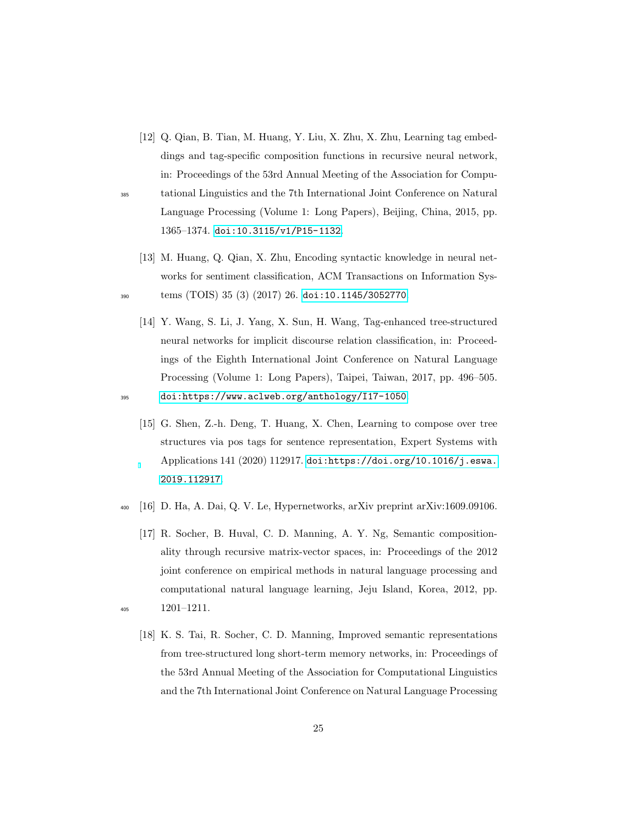<span id="page-24-0"></span>[12] Q. Qian, B. Tian, M. Huang, Y. Liu, X. Zhu, X. Zhu, Learning tag embeddings and tag-specific composition functions in recursive neural network, in: Proceedings of the 53rd Annual Meeting of the Association for Compu-

<sup>385</sup> tational Linguistics and the 7th International Joint Conference on Natural Language Processing (Volume 1: Long Papers), Beijing, China, 2015, pp. 1365–1374. [doi:10.3115/v1/P15-1132](http://dx.doi.org/10.3115/v1/P15-1132).

<span id="page-24-1"></span>[13] M. Huang, Q. Qian, X. Zhu, Encoding syntactic knowledge in neural networks for sentiment classification, ACM Transactions on Information Sys-<sup>390</sup> tems (TOIS) 35 (3) (2017) 26. [doi:10.1145/3052770](http://dx.doi.org/10.1145/3052770).

<span id="page-24-2"></span>[14] Y. Wang, S. Li, J. Yang, X. Sun, H. Wang, Tag-enhanced tree-structured neural networks for implicit discourse relation classification, in: Proceedings of the Eighth International Joint Conference on Natural Language Processing (Volume 1: Long Papers), Taipei, Taiwan, 2017, pp. 496–505.

<sup>395</sup> [doi:https://www.aclweb.org/anthology/I17-1050](http://dx.doi.org/https://www.aclweb.org/anthology/I17-1050).

- <span id="page-24-3"></span>[15] G. Shen, Z.-h. Deng, T. Huang, X. Chen, Learning to compose over tree structures via pos tags for sentence representation, Expert Systems with Applications 141 (2020) 112917. [doi:https://doi.org/10.1016/j.eswa.](http://dx.doi.org/https://doi.org/10.1016/j.eswa.2019.112917) [2019.112917](http://dx.doi.org/https://doi.org/10.1016/j.eswa.2019.112917).
- <span id="page-24-4"></span><sup>400</sup> [16] D. Ha, A. Dai, Q. V. Le, Hypernetworks, arXiv preprint arXiv:1609.09106.
- <span id="page-24-6"></span><span id="page-24-5"></span>[17] R. Socher, B. Huval, C. D. Manning, A. Y. Ng, Semantic compositionality through recursive matrix-vector spaces, in: Proceedings of the 2012 joint conference on empirical methods in natural language processing and computational natural language learning, Jeju Island, Korea, 2012, pp. <sup>405</sup> 1201–1211.
	- [18] K. S. Tai, R. Socher, C. D. Manning, Improved semantic representations from tree-structured long short-term memory networks, in: Proceedings of the 53rd Annual Meeting of the Association for Computational Linguistics and the 7th International Joint Conference on Natural Language Processing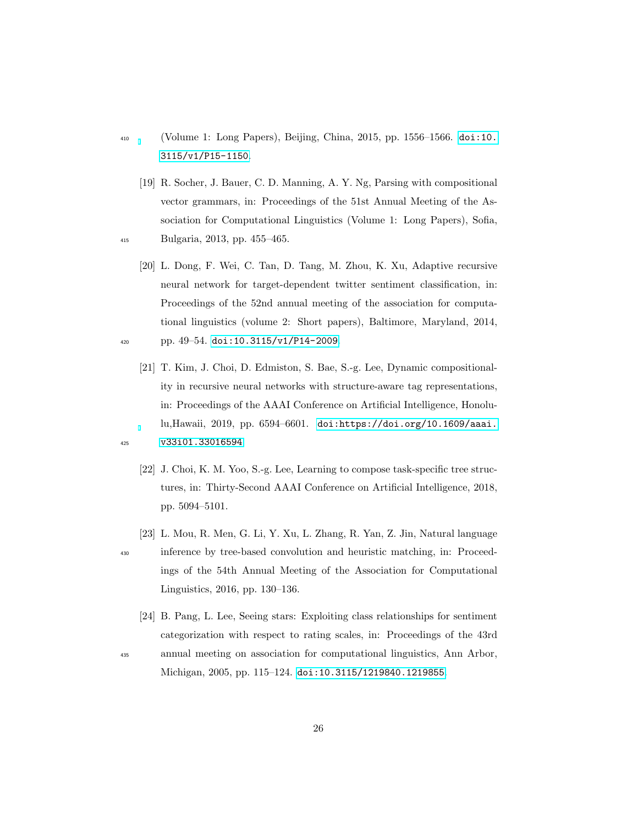- <sup>410</sup> (Volume 1: Long Papers), Beijing, China, 2015, pp. 1556–1566. [doi:10.](http://dx.doi.org/10.3115/v1/P15-1150) [3115/v1/P15-1150](http://dx.doi.org/10.3115/v1/P15-1150).
- <span id="page-25-0"></span>[19] R. Socher, J. Bauer, C. D. Manning, A. Y. Ng, Parsing with compositional vector grammars, in: Proceedings of the 51st Annual Meeting of the Association for Computational Linguistics (Volume 1: Long Papers), Sofia, <sup>415</sup> Bulgaria, 2013, pp. 455–465.
- <span id="page-25-1"></span>[20] L. Dong, F. Wei, C. Tan, D. Tang, M. Zhou, K. Xu, Adaptive recursive neural network for target-dependent twitter sentiment classification, in: Proceedings of the 52nd annual meeting of the association for computational linguistics (volume 2: Short papers), Baltimore, Maryland, 2014,  $_{420}$  pp. 49-54. [doi:10.3115/v1/P14-2009](http://dx.doi.org/10.3115/v1/P14-2009).
- <span id="page-25-2"></span>[21] T. Kim, J. Choi, D. Edmiston, S. Bae, S.-g. Lee, Dynamic compositionality in recursive neural networks with structure-aware tag representations, in: Proceedings of the AAAI Conference on Artificial Intelligence, Honolulu,Hawaii, 2019, pp. 6594–6601. [doi:https://doi.org/10.1609/aaai.](http://dx.doi.org/https://doi.org/10.1609/aaai.v33i01.33016594) <sup>425</sup> [v33i01.33016594](http://dx.doi.org/https://doi.org/10.1609/aaai.v33i01.33016594).
- 
- 
- <span id="page-25-3"></span>[22] J. Choi, K. M. Yoo, S.-g. Lee, Learning to compose task-specific tree structures, in: Thirty-Second AAAI Conference on Artificial Intelligence, 2018, pp. 5094–5101.
- <span id="page-25-4"></span>[23] L. Mou, R. Men, G. Li, Y. Xu, L. Zhang, R. Yan, Z. Jin, Natural language
- <sup>430</sup> inference by tree-based convolution and heuristic matching, in: Proceed
	- ings of the 54th Annual Meeting of the Association for Computational Linguistics, 2016, pp. 130–136.
- <span id="page-25-5"></span>[24] B. Pang, L. Lee, Seeing stars: Exploiting class relationships for sentiment categorization with respect to rating scales, in: Proceedings of the 43rd <sup>435</sup> annual meeting on association for computational linguistics, Ann Arbor,
-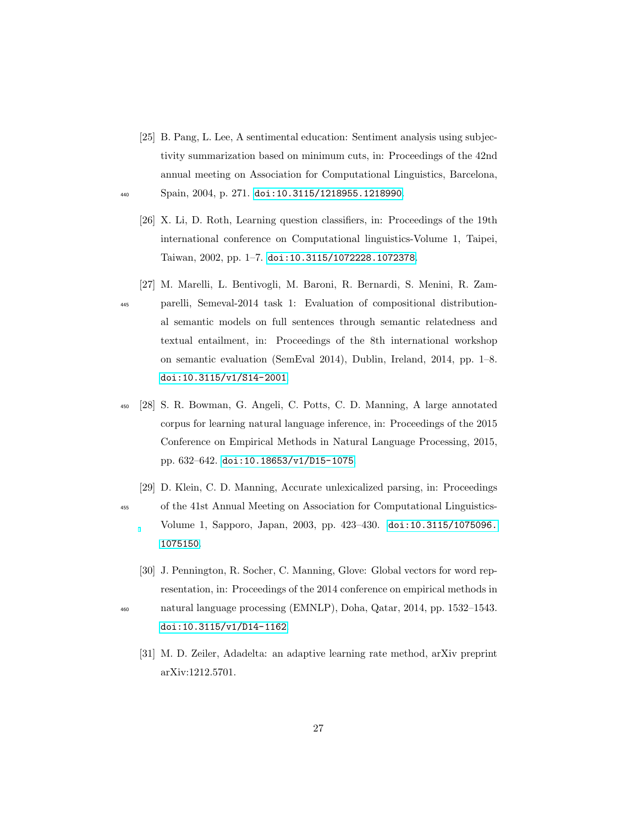- <span id="page-26-1"></span><span id="page-26-0"></span>[25] B. Pang, L. Lee, A sentimental education: Sentiment analysis using subjectivity summarization based on minimum cuts, in: Proceedings of the 42nd annual meeting on Association for Computational Linguistics, Barcelona, <sup>440</sup> Spain, 2004, p. 271. [doi:10.3115/1218955.1218990](http://dx.doi.org/10.3115/1218955.1218990).
	- [26] X. Li, D. Roth, Learning question classifiers, in: Proceedings of the 19th international conference on Computational linguistics-Volume 1, Taipei, Taiwan, 2002, pp. 1–7. [doi:10.3115/1072228.1072378](http://dx.doi.org/10.3115/1072228.1072378).
- <span id="page-26-2"></span>[27] M. Marelli, L. Bentivogli, M. Baroni, R. Bernardi, S. Menini, R. Zam-<sup>445</sup> parelli, Semeval-2014 task 1: Evaluation of compositional distributional semantic models on full sentences through semantic relatedness and textual entailment, in: Proceedings of the 8th international workshop on semantic evaluation (SemEval 2014), Dublin, Ireland, 2014, pp. 1–8. [doi:10.3115/v1/S14-2001](http://dx.doi.org/10.3115/v1/S14-2001).
- <span id="page-26-3"></span><sup>450</sup> [28] S. R. Bowman, G. Angeli, C. Potts, C. D. Manning, A large annotated corpus for learning natural language inference, in: Proceedings of the 2015 Conference on Empirical Methods in Natural Language Processing, 2015, pp. 632–642. [doi:10.18653/v1/D15-1075](http://dx.doi.org/10.18653/v1/D15-1075).
- <span id="page-26-4"></span>[29] D. Klein, C. D. Manning, Accurate unlexicalized parsing, in: Proceedings <sup>455</sup> of the 41st Annual Meeting on Association for Computational Linguistics-Volume 1, Sapporo, Japan, 2003, pp. 423–430. [doi:10.3115/1075096.](http://dx.doi.org/10.3115/1075096.1075150) [1075150](http://dx.doi.org/10.3115/1075096.1075150).
- <span id="page-26-6"></span><span id="page-26-5"></span>[30] J. Pennington, R. Socher, C. Manning, Glove: Global vectors for word representation, in: Proceedings of the 2014 conference on empirical methods in <sup>460</sup> natural language processing (EMNLP), Doha, Qatar, 2014, pp. 1532–1543. [doi:10.3115/v1/D14-1162](http://dx.doi.org/10.3115/v1/D14-1162).
	- [31] M. D. Zeiler, Adadelta: an adaptive learning rate method, arXiv preprint arXiv:1212.5701.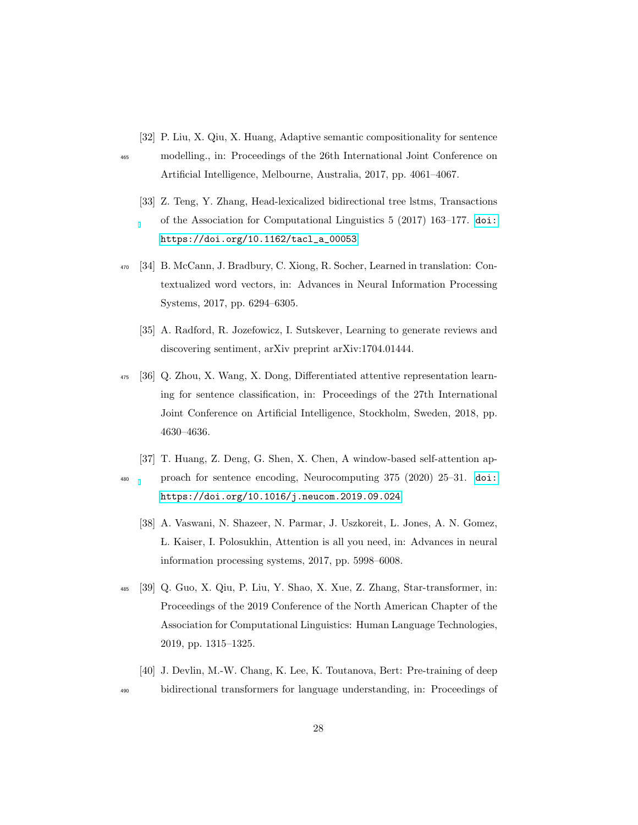<span id="page-27-0"></span>[32] P. Liu, X. Qiu, X. Huang, Adaptive semantic compositionality for sentence

<span id="page-27-1"></span>

- <sup>465</sup> modelling., in: Proceedings of the 26th International Joint Conference on Artificial Intelligence, Melbourne, Australia, 2017, pp. 4061–4067.
	- [33] Z. Teng, Y. Zhang, Head-lexicalized bidirectional tree lstms, Transactions of the Association for Computational Linguistics 5 (2017) 163–177. [doi:](http://dx.doi.org/https://doi.org/10.1162/tacl_a_00053) [https://doi.org/10.1162/tacl\\_a\\_00053](http://dx.doi.org/https://doi.org/10.1162/tacl_a_00053).
- <span id="page-27-3"></span><span id="page-27-2"></span><sup>470</sup> [34] B. McCann, J. Bradbury, C. Xiong, R. Socher, Learned in translation: Contextualized word vectors, in: Advances in Neural Information Processing Systems, 2017, pp. 6294–6305.
	- [35] A. Radford, R. Jozefowicz, I. Sutskever, Learning to generate reviews and discovering sentiment, arXiv preprint arXiv:1704.01444.
- <span id="page-27-4"></span><sup>475</sup> [36] Q. Zhou, X. Wang, X. Dong, Differentiated attentive representation learning for sentence classification, in: Proceedings of the 27th International Joint Conference on Artificial Intelligence, Stockholm, Sweden, 2018, pp. 4630–4636.
- <span id="page-27-6"></span><span id="page-27-5"></span>[37] T. Huang, Z. Deng, G. Shen, X. Chen, A window-based self-attention ap-<sup>480</sup> proach for sentence encoding, Neurocomputing 375 (2020) 25–31. [doi:](http://dx.doi.org/https://doi.org/10.1016/j.neucom.2019.09.024) [https://doi.org/10.1016/j.neucom.2019.09.024](http://dx.doi.org/https://doi.org/10.1016/j.neucom.2019.09.024).
	- [38] A. Vaswani, N. Shazeer, N. Parmar, J. Uszkoreit, L. Jones, A. N. Gomez, L. Kaiser, I. Polosukhin, Attention is all you need, in: Advances in neural information processing systems, 2017, pp. 5998–6008.
- <span id="page-27-7"></span><sup>485</sup> [39] Q. Guo, X. Qiu, P. Liu, Y. Shao, X. Xue, Z. Zhang, Star-transformer, in: Proceedings of the 2019 Conference of the North American Chapter of the Association for Computational Linguistics: Human Language Technologies, 2019, pp. 1315–1325.
- <span id="page-27-8"></span>[40] J. Devlin, M.-W. Chang, K. Lee, K. Toutanova, Bert: Pre-training of deep <sup>490</sup> bidirectional transformers for language understanding, in: Proceedings of